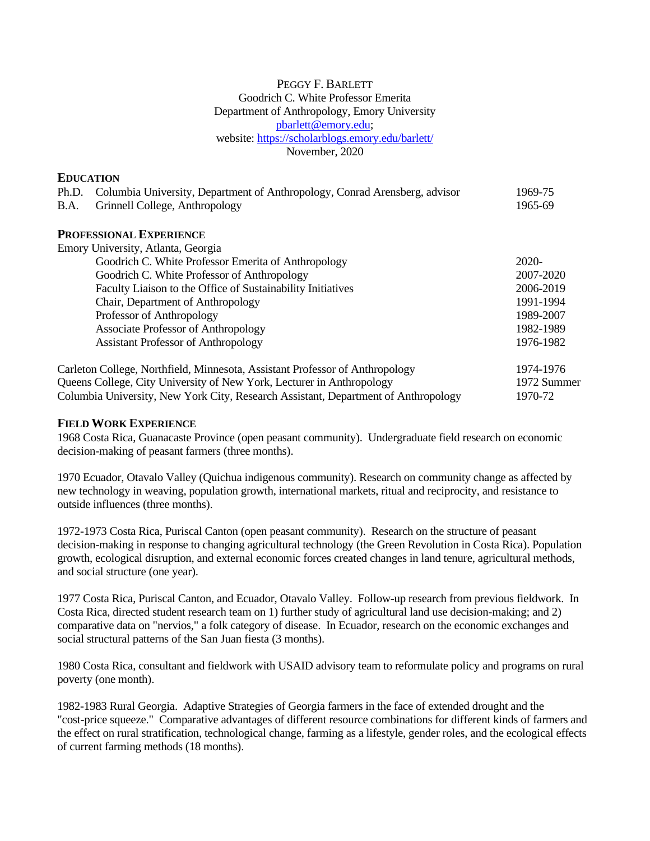# PEGGY F. BARLETT Goodrich C. White Professor Emerita Department of Anthropology, Emory University [pbarlett@emory.edu;](mailto:pbarlett@emory.edu) website:<https://scholarblogs.emory.edu/barlett/> November, 2020

# **EDUCATION**

| Columbia University, Department of Anthropology, Conrad Arensberg, advisor<br>Ph.D. | 1969-75          |
|-------------------------------------------------------------------------------------|------------------|
| Grinnell College, Anthropology<br><b>B.A.</b>                                       | 1965-69          |
| <b>PROFESSIONAL EXPERIENCE</b>                                                      |                  |
| Emory University, Atlanta, Georgia                                                  |                  |
| Goodrich C. White Professor Emerita of Anthropology                                 | $2020-$          |
| Goodrich C. White Professor of Anthropology                                         | 2007-2020        |
|                                                                                     |                  |
| Faculty Liaison to the Office of Sustainability Initiatives                         | 2006-2019        |
| Chair, Department of Anthropology                                                   | 1991-1994        |
| Professor of Anthropology                                                           | 1989-2007        |
| <b>Associate Professor of Anthropology</b>                                          | 1982-1989        |
| <b>Assistant Professor of Anthropology</b>                                          | 1976-1982        |
| Carleton College, Northfield, Minnesota, Assistant Professor of Anthropology        | 1974-1976        |
| Ougang Callege City University of New York, Leatures in Anthropology                | $1072$ $S_{322}$ |

Queens College, City University of New York, Lecturer in Anthropology 1972 Summer Columbia University, New York City, Research Assistant, Department of Anthropology 1970-72

# **FIELD WORK EXPERIENCE**

1968 Costa Rica, Guanacaste Province (open peasant community). Undergraduate field research on economic decision-making of peasant farmers (three months).

1970 Ecuador, Otavalo Valley (Quichua indigenous community). Research on community change as affected by new technology in weaving, population growth, international markets, ritual and reciprocity, and resistance to outside influences (three months).

1972-1973 Costa Rica, Puriscal Canton (open peasant community). Research on the structure of peasant decision-making in response to changing agricultural technology (the Green Revolution in Costa Rica). Population growth, ecological disruption, and external economic forces created changes in land tenure, agricultural methods, and social structure (one year).

1977 Costa Rica, Puriscal Canton, and Ecuador, Otavalo Valley. Follow-up research from previous fieldwork. In Costa Rica, directed student research team on 1) further study of agricultural land use decision-making; and 2) comparative data on "nervios," a folk category of disease. In Ecuador, research on the economic exchanges and social structural patterns of the San Juan fiesta (3 months).

1980 Costa Rica, consultant and fieldwork with USAID advisory team to reformulate policy and programs on rural poverty (one month).

1982-1983 Rural Georgia. Adaptive Strategies of Georgia farmers in the face of extended drought and the "cost-price squeeze." Comparative advantages of different resource combinations for different kinds of farmers and the effect on rural stratification, technological change, farming as a lifestyle, gender roles, and the ecological effects of current farming methods (18 months).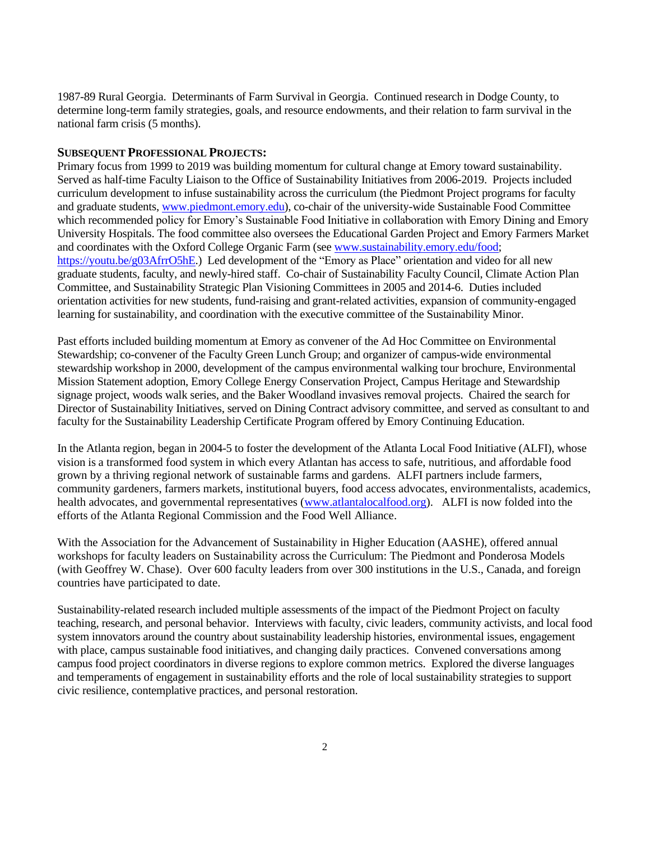1987-89 Rural Georgia. Determinants of Farm Survival in Georgia. Continued research in Dodge County, to determine long-term family strategies, goals, and resource endowments, and their relation to farm survival in the national farm crisis (5 months).

## **SUBSEQUENT PROFESSIONAL PROJECTS:**

Primary focus from 1999 to 2019 was building momentum for cultural change at Emory toward sustainability. Served as half-time Faculty Liaison to the Office of Sustainability Initiatives from 2006-2019. Projects included curriculum development to infuse sustainability across the curriculum (the Piedmont Project programs for faculty and graduate students[, www.piedmont.emory.edu\)](http://www.piedmont.emory.edu/), co-chair of the university-wide Sustainable Food Committee which recommended policy for Emory's Sustainable Food Initiative in collaboration with Emory Dining and Emory University Hospitals. The food committee also oversees the Educational Garden Project and Emory Farmers Market and coordinates with the Oxford College Organic Farm (see [www.sustainability.emory.edu/food;](http://www.sustainability.emory.edu/food) [https://youtu.be/g03AfrrO5hE.](https://youtu.be/g03AfrrO5hE)) Led development of the "Emory as Place" orientation and video for all new graduate students, faculty, and newly-hired staff. Co-chair of Sustainability Faculty Council, Climate Action Plan Committee, and Sustainability Strategic Plan Visioning Committees in 2005 and 2014-6. Duties included orientation activities for new students, fund-raising and grant-related activities, expansion of community-engaged learning for sustainability, and coordination with the executive committee of the Sustainability Minor.

Past efforts included building momentum at Emory as convener of the Ad Hoc Committee on Environmental Stewardship; co-convener of the Faculty Green Lunch Group; and organizer of campus-wide environmental stewardship workshop in 2000, development of the campus environmental walking tour brochure, Environmental Mission Statement adoption, Emory College Energy Conservation Project, Campus Heritage and Stewardship signage project, woods walk series, and the Baker Woodland invasives removal projects. Chaired the search for Director of Sustainability Initiatives, served on Dining Contract advisory committee, and served as consultant to and faculty for the Sustainability Leadership Certificate Program offered by Emory Continuing Education.

In the Atlanta region, began in 2004-5 to foster the development of the Atlanta Local Food Initiative (ALFI), whose vision is a transformed food system in which every Atlantan has access to safe, nutritious, and affordable food grown by a thriving regional network of sustainable farms and gardens. ALFI partners include farmers, community gardeners, farmers markets, institutional buyers, food access advocates, environmentalists, academics, health advocates, and governmental representatives [\(www.atlantalocalfood.org\)](http://www.atlantalocalfood.org/). ALFI is now folded into the efforts of the Atlanta Regional Commission and the Food Well Alliance.

With the Association for the Advancement of Sustainability in Higher Education (AASHE), offered annual workshops for faculty leaders on Sustainability across the Curriculum: The Piedmont and Ponderosa Models (with Geoffrey W. Chase). Over 600 faculty leaders from over 300 institutions in the U.S., Canada, and foreign countries have participated to date.

Sustainability-related research included multiple assessments of the impact of the Piedmont Project on faculty teaching, research, and personal behavior. Interviews with faculty, civic leaders, community activists, and local food system innovators around the country about sustainability leadership histories, environmental issues, engagement with place, campus sustainable food initiatives, and changing daily practices. Convened conversations among campus food project coordinators in diverse regions to explore common metrics. Explored the diverse languages and temperaments of engagement in sustainability efforts and the role of local sustainability strategies to support civic resilience, contemplative practices, and personal restoration.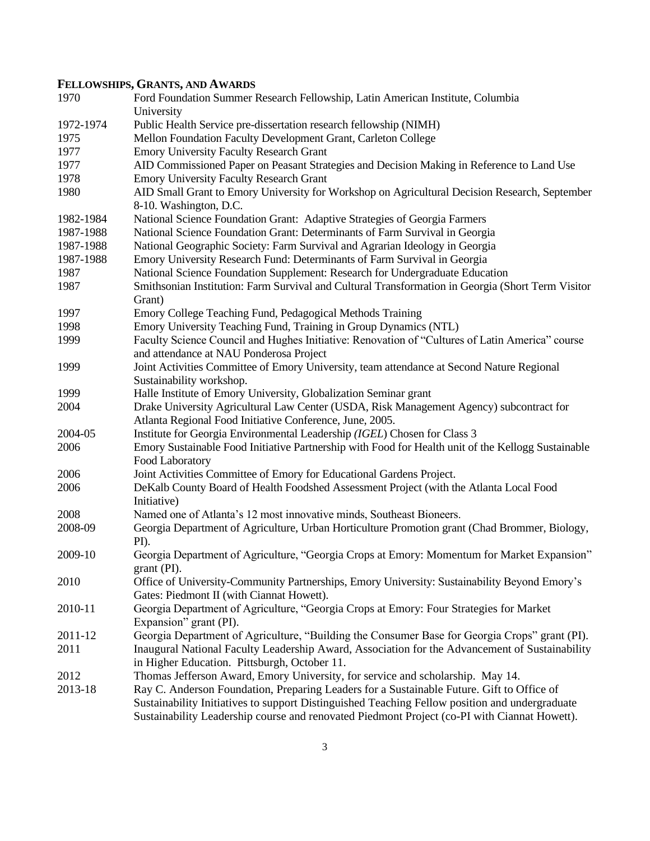# **FELLOWSHIPS, GRANTS, AND AWARDS**

| 1970      | Ford Foundation Summer Research Fellowship, Latin American Institute, Columbia<br>University                          |
|-----------|-----------------------------------------------------------------------------------------------------------------------|
| 1972-1974 | Public Health Service pre-dissertation research fellowship (NIMH)                                                     |
| 1975      | Mellon Foundation Faculty Development Grant, Carleton College                                                         |
| 1977      | <b>Emory University Faculty Research Grant</b>                                                                        |
| 1977      | AID Commissioned Paper on Peasant Strategies and Decision Making in Reference to Land Use                             |
| 1978      | <b>Emory University Faculty Research Grant</b>                                                                        |
| 1980      | AID Small Grant to Emory University for Workshop on Agricultural Decision Research, September                         |
|           | 8-10. Washington, D.C.                                                                                                |
| 1982-1984 | National Science Foundation Grant: Adaptive Strategies of Georgia Farmers                                             |
| 1987-1988 | National Science Foundation Grant: Determinants of Farm Survival in Georgia                                           |
| 1987-1988 | National Geographic Society: Farm Survival and Agrarian Ideology in Georgia                                           |
| 1987-1988 | Emory University Research Fund: Determinants of Farm Survival in Georgia                                              |
| 1987      | National Science Foundation Supplement: Research for Undergraduate Education                                          |
| 1987      | Smithsonian Institution: Farm Survival and Cultural Transformation in Georgia (Short Term Visitor                     |
|           | Grant)                                                                                                                |
| 1997      | Emory College Teaching Fund, Pedagogical Methods Training                                                             |
| 1998      | Emory University Teaching Fund, Training in Group Dynamics (NTL)                                                      |
| 1999      | Faculty Science Council and Hughes Initiative: Renovation of "Cultures of Latin America" course                       |
|           | and attendance at NAU Ponderosa Project                                                                               |
| 1999      | Joint Activities Committee of Emory University, team attendance at Second Nature Regional                             |
|           | Sustainability workshop.                                                                                              |
| 1999      | Halle Institute of Emory University, Globalization Seminar grant                                                      |
| 2004      | Drake University Agricultural Law Center (USDA, Risk Management Agency) subcontract for                               |
|           | Atlanta Regional Food Initiative Conference, June, 2005.                                                              |
| 2004-05   | Institute for Georgia Environmental Leadership (IGEL) Chosen for Class 3                                              |
| 2006      | Emory Sustainable Food Initiative Partnership with Food for Health unit of the Kellogg Sustainable<br>Food Laboratory |
| 2006      | Joint Activities Committee of Emory for Educational Gardens Project.                                                  |
| 2006      | DeKalb County Board of Health Foodshed Assessment Project (with the Atlanta Local Food                                |
|           | Initiative)                                                                                                           |
| 2008      | Named one of Atlanta's 12 most innovative minds, Southeast Bioneers.                                                  |
| 2008-09   | Georgia Department of Agriculture, Urban Horticulture Promotion grant (Chad Brommer, Biology,                         |
|           | PI).                                                                                                                  |
| 2009-10   | Georgia Department of Agriculture, "Georgia Crops at Emory: Momentum for Market Expansion"                            |
|           | grant (PI).                                                                                                           |
| 2010      | Office of University-Community Partnerships, Emory University: Sustainability Beyond Emory's                          |
|           | Gates: Piedmont II (with Ciannat Howett).                                                                             |
| 2010-11   | Georgia Department of Agriculture, "Georgia Crops at Emory: Four Strategies for Market                                |
|           | Expansion" grant (PI).                                                                                                |
| 2011-12   | Georgia Department of Agriculture, "Building the Consumer Base for Georgia Crops" grant (PI).                         |
| 2011      | Inaugural National Faculty Leadership Award, Association for the Advancement of Sustainability                        |
|           | in Higher Education. Pittsburgh, October 11.                                                                          |
| 2012      | Thomas Jefferson Award, Emory University, for service and scholarship. May 14.                                        |
| 2013-18   | Ray C. Anderson Foundation, Preparing Leaders for a Sustainable Future. Gift to Office of                             |
|           | Sustainability Initiatives to support Distinguished Teaching Fellow position and undergraduate                        |
|           | Sustainability Leadership course and renovated Piedmont Project (co-PI with Ciannat Howett).                          |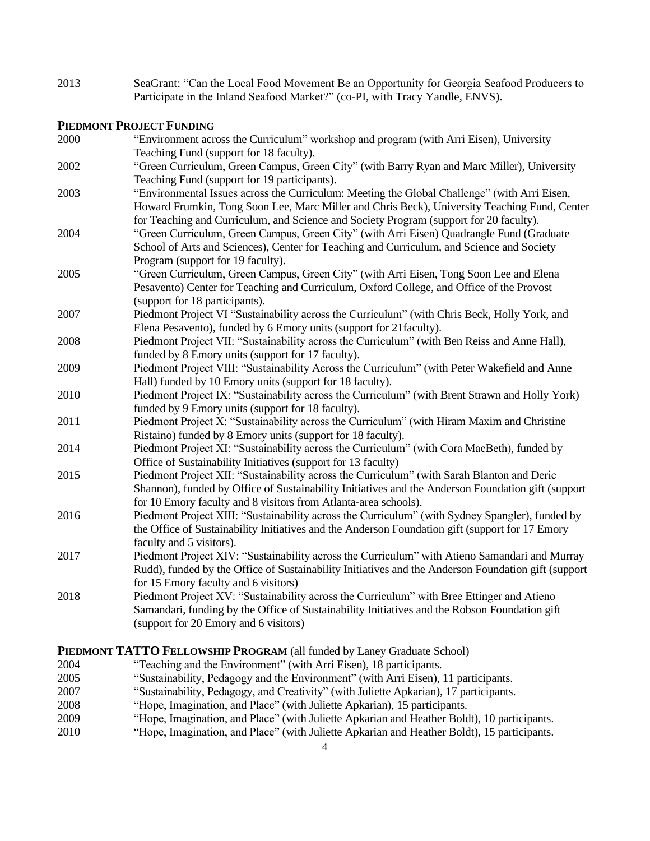2013 SeaGrant: "Can the Local Food Movement Be an Opportunity for Georgia Seafood Producers to Participate in the Inland Seafood Market?" (co-PI, with Tracy Yandle, ENVS).

## **PIEDMONT PROJECT FUNDING**

- 2000 "Environment across the Curriculum" workshop and program (with Arri Eisen), University Teaching Fund (support for 18 faculty). 2002 "Green Curriculum, Green Campus, Green City" (with Barry Ryan and Marc Miller), University Teaching Fund (support for 19 participants). 2003 "Environmental Issues across the Curriculum: Meeting the Global Challenge" (with Arri Eisen, Howard Frumkin, Tong Soon Lee, Marc Miller and Chris Beck), University Teaching Fund, Center for Teaching and Curriculum, and Science and Society Program (support for 20 faculty). 2004 "Green Curriculum, Green Campus, Green City" (with Arri Eisen) Quadrangle Fund (Graduate School of Arts and Sciences), Center for Teaching and Curriculum, and Science and Society Program (support for 19 faculty). 2005 "Green Curriculum, Green Campus, Green City" (with Arri Eisen, Tong Soon Lee and Elena Pesavento) Center for Teaching and Curriculum, Oxford College, and Office of the Provost (support for 18 participants). 2007 Piedmont Project VI "Sustainability across the Curriculum" (with Chris Beck, Holly York, and Elena Pesavento), funded by 6 Emory units (support for 21faculty). 2008 Piedmont Project VII: "Sustainability across the Curriculum" (with Ben Reiss and Anne Hall), funded by 8 Emory units (support for 17 faculty). 2009 Piedmont Project VIII: "Sustainability Across the Curriculum" (with Peter Wakefield and Anne Hall) funded by 10 Emory units (support for 18 faculty). 2010 Piedmont Project IX: "Sustainability across the Curriculum" (with Brent Strawn and Holly York) funded by 9 Emory units (support for 18 faculty). 2011 Piedmont Project X: "Sustainability across the Curriculum" (with Hiram Maxim and Christine Ristaino) funded by 8 Emory units (support for 18 faculty). 2014 Piedmont Project XI: "Sustainability across the Curriculum" (with Cora MacBeth), funded by Office of Sustainability Initiatives (support for 13 faculty) 2015 Piedmont Project XII: "Sustainability across the Curriculum" (with Sarah Blanton and Deric Shannon), funded by Office of Sustainability Initiatives and the Anderson Foundation gift (support for 10 Emory faculty and 8 visitors from Atlanta-area schools). 2016 Piedmont Project XIII: "Sustainability across the Curriculum" (with Sydney Spangler), funded by the Office of Sustainability Initiatives and the Anderson Foundation gift (support for 17 Emory faculty and 5 visitors). 2017 Piedmont Project XIV: "Sustainability across the Curriculum" with Atieno Samandari and Murray Rudd), funded by the Office of Sustainability Initiatives and the Anderson Foundation gift (support for 15 Emory faculty and 6 visitors) 2018 Piedmont Project XV: "Sustainability across the Curriculum" with Bree Ettinger and Atieno Samandari, funding by the Office of Sustainability Initiatives and the Robson Foundation gift (support for 20 Emory and 6 visitors) **PIEDMONT TATTO FELLOWSHIP PROGRAM** (all funded by Laney Graduate School)
- 2004 "Teaching and the Environment" (with Arri Eisen), 18 participants.
- 2005 "Sustainability, Pedagogy and the Environment" (with Arri Eisen), 11 participants.
- 2007 "Sustainability, Pedagogy, and Creativity" (with Juliette Apkarian), 17 participants.
- 2008 "Hope, Imagination, and Place" (with Juliette Apkarian), 15 participants.
- 2009 "Hope, Imagination, and Place" (with Juliette Apkarian and Heather Boldt), 10 participants.
- 2010 "Hope, Imagination, and Place" (with Juliette Apkarian and Heather Boldt), 15 participants.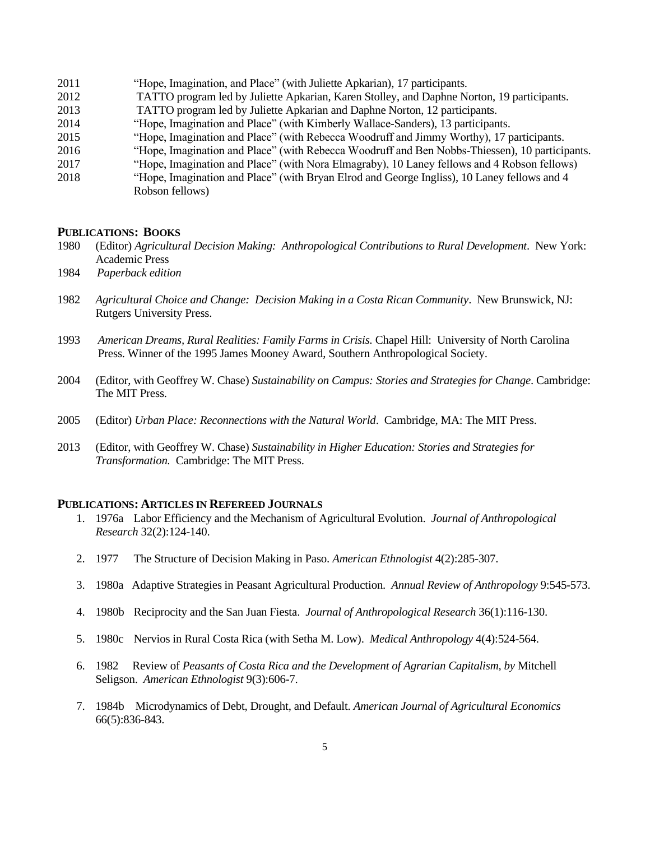"Hope, Imagination, and Place" (with Juliette Apkarian), 17 participants. TATTO program led by Juliette Apkarian, Karen Stolley, and Daphne Norton, 19 participants. TATTO program led by Juliette Apkarian and Daphne Norton, 12 participants. "Hope, Imagination and Place" (with Kimberly Wallace-Sanders), 13 participants. "Hope, Imagination and Place" (with Rebecca Woodruff and Jimmy Worthy), 17 participants. "Hope, Imagination and Place" (with Rebecca Woodruff and Ben Nobbs-Thiessen), 10 participants. "Hope, Imagination and Place" (with Nora Elmagraby), 10 Laney fellows and 4 Robson fellows) "Hope, Imagination and Place" (with Bryan Elrod and George Ingliss), 10 Laney fellows and 4 Robson fellows)

#### **PUBLICATIONS: BOOKS**

- 1980 (Editor) *Agricultural Decision Making: Anthropological Contributions to Rural Development*. New York: Academic Press
- 1984 *Paperback edition*
- 1982 *Agricultural Choice and Change: Decision Making in a Costa Rican Community*. New Brunswick, NJ: Rutgers University Press.
- 1993 *American Dreams, Rural Realities: Family Farms in Crisis.* Chapel Hill: University of North Carolina Press. Winner of the 1995 James Mooney Award, Southern Anthropological Society.
- 2004 (Editor, with Geoffrey W. Chase) *Sustainability on Campus: Stories and Strategies for Change*. Cambridge: The MIT Press.
- 2005 (Editor) *Urban Place: Reconnections with the Natural World*. Cambridge, MA: The MIT Press.
- 2013 (Editor, with Geoffrey W. Chase) *Sustainability in Higher Education: Stories and Strategies for Transformation.* Cambridge: The MIT Press.

### **PUBLICATIONS: ARTICLES IN REFEREED JOURNALS**

- 1. 1976a Labor Efficiency and the Mechanism of Agricultural Evolution. *Journal of Anthropological Research* 32(2):124-140.
- 2. 1977 The Structure of Decision Making in Paso. *American Ethnologist* 4(2):285-307.
- 3. 1980a Adaptive Strategies in Peasant Agricultural Production. *Annual Review of Anthropology* 9:545-573.
- 4. 1980b Reciprocity and the San Juan Fiesta. *Journal of Anthropological Research* 36(1):116-130.
- 5. 1980c Nervios in Rural Costa Rica (with Setha M. Low). *Medical Anthropology* 4(4):524-564.
- 6. 1982 Review of *Peasants of Costa Rica and the Development of Agrarian Capitalism, by* Mitchell Seligson. *American Ethnologist* 9(3):606-7.
- 7. 1984b Microdynamics of Debt, Drought, and Default. *American Journal of Agricultural Economics* 66(5):836-843.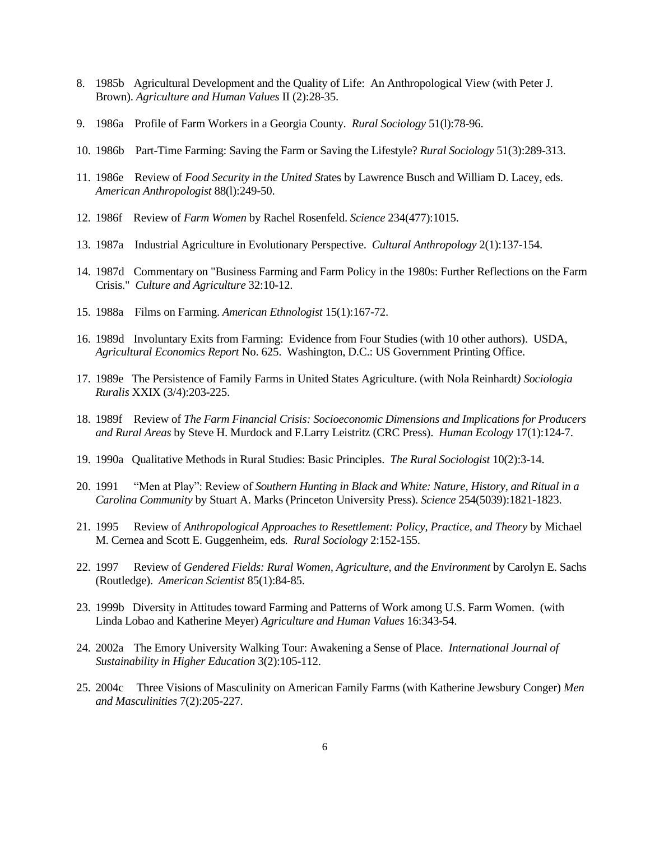- 8. 1985b Agricultural Development and the Quality of Life: An Anthropological View (with Peter J. Brown). *Agriculture and Human Values* II (2):28-35.
- 9. 1986a Profile of Farm Workers in a Georgia County. *Rural Sociology* 51(l):78-96.
- 10. 1986b Part-Time Farming: Saving the Farm or Saving the Lifestyle? *Rural Sociology* 51(3):289-313.
- 11. 1986e Review of *Food Security in the United St*ates by Lawrence Busch and William D. Lacey, eds. *American Anthropologist* 88(l):249-50.
- 12. 1986f Review of *Farm Women* by Rachel Rosenfeld. *Science* 234(477):1015.
- 13. 1987a Industrial Agriculture in Evolutionary Perspective. *Cultural Anthropology* 2(1):137-154.
- 14. 1987d Commentary on "Business Farming and Farm Policy in the 1980s: Further Reflections on the Farm Crisis." *Culture and Agriculture* 32:10-12.
- 15. 1988a Films on Farming. *American Ethnologist* 15(1):167-72.
- 16. 1989d Involuntary Exits from Farming: Evidence from Four Studies (with 10 other authors). USDA, *Agricultural Economics Report* No. 625. Washington, D.C.: US Government Printing Office.
- 17. 1989e The Persistence of Family Farms in United States Agriculture. (with Nola Reinhardt*) Sociologia Ruralis* XXIX (3/4):203-225.
- 18. 1989f Review of *The Farm Financial Crisis: Socioeconomic Dimensions and Implications for Producers and Rural Areas* by Steve H. Murdock and F.Larry Leistritz (CRC Press). *Human Ecology* 17(1):124-7.
- 19. 1990a Qualitative Methods in Rural Studies: Basic Principles. *The Rural Sociologist* 10(2):3-14.
- 20. 1991 "Men at Play": Review of *Southern Hunting in Black and White: Nature, History, and Ritual in a Carolina Community* by Stuart A. Marks (Princeton University Press). *Science* 254(5039):1821-1823.
- 21. 1995 Review of *Anthropological Approaches to Resettlement: Policy, Practice, and Theory* by Michael M. Cernea and Scott E. Guggenheim, eds*. Rural Sociology* 2:152-155.
- 22. 1997 Review of *Gendered Fields: Rural Women, Agriculture, and the Environment* by Carolyn E. Sachs (Routledge). *American Scientist* 85(1):84-85.
- 23. 1999b Diversity in Attitudes toward Farming and Patterns of Work among U.S. Farm Women. (with Linda Lobao and Katherine Meyer) *Agriculture and Human Values* 16:343-54.
- 24. 2002a The Emory University Walking Tour: Awakening a Sense of Place. *International Journal of Sustainability in Higher Education* 3(2):105-112.
- 25. 2004c Three Visions of Masculinity on American Family Farms (with Katherine Jewsbury Conger) *Men and Masculinities* 7(2):205-227.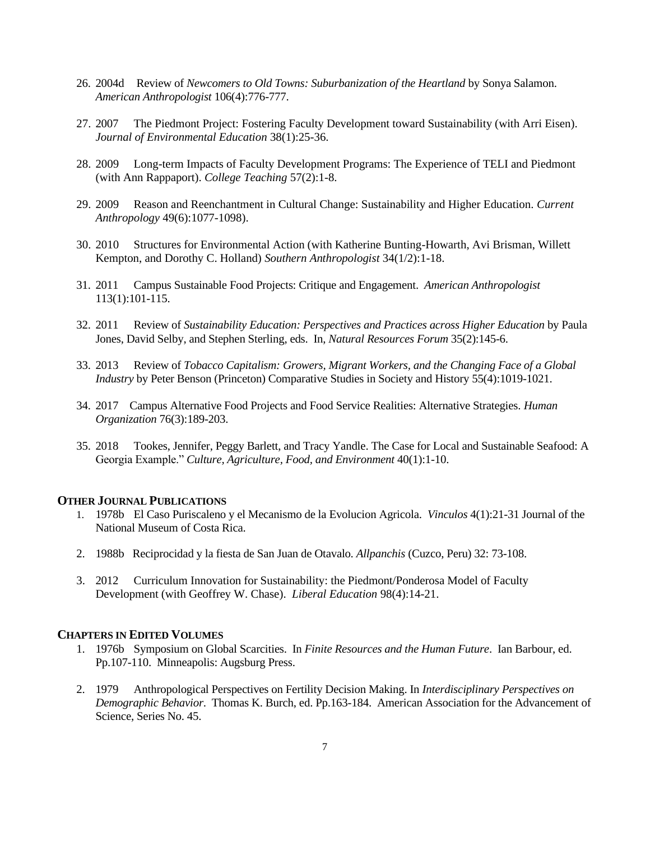- 26. 2004d Review of *Newcomers to Old Towns: Suburbanization of the Heartland* by Sonya Salamon. *American Anthropologist* 106(4):776-777.
- 27. 2007 The Piedmont Project: Fostering Faculty Development toward Sustainability (with Arri Eisen). *Journal of Environmental Education* 38(1):25-36.
- 28. 2009 Long-term Impacts of Faculty Development Programs: The Experience of TELI and Piedmont (with Ann Rappaport). *College Teaching* 57(2):1-8.
- 29. 2009 Reason and Reenchantment in Cultural Change: Sustainability and Higher Education. *Current Anthropology* 49(6):1077-1098).
- 30. 2010 Structures for Environmental Action (with Katherine Bunting-Howarth, Avi Brisman, Willett Kempton, and Dorothy C. Holland) *Southern Anthropologist* 34(1/2):1-18.
- 31. 2011 Campus Sustainable Food Projects: Critique and Engagement. *American Anthropologist* 113(1):101-115.
- 32. 2011 Review of *Sustainability Education: Perspectives and Practices across Higher Education* by Paula Jones, David Selby, and Stephen Sterling, eds. In, *Natural Resources Forum* 35(2):145-6.
- 33. 2013 Review of *Tobacco Capitalism: Growers, Migrant Workers, and the Changing Face of a Global Industry* by Peter Benson (Princeton) Comparative Studies in Society and History 55(4):1019-1021.
- 34. 2017 Campus Alternative Food Projects and Food Service Realities: Alternative Strategies. *Human Organization* 76(3):189-203.
- 35. 2018 Tookes, Jennifer, Peggy Barlett, and Tracy Yandle. The Case for Local and Sustainable Seafood: A Georgia Example." *Culture, Agriculture, Food, and Environment* 40(1):1-10.

#### **OTHER JOURNAL PUBLICATIONS**

- 1. 1978b El Caso Puriscaleno y el Mecanismo de la Evolucion Agricola. *Vinculos* 4(1):21-31 Journal of the National Museum of Costa Rica.
- 2. 1988b Reciprocidad y la fiesta de San Juan de Otavalo. *Allpanchis* (Cuzco, Peru) 32: 73-108.
- 3. 2012 Curriculum Innovation for Sustainability: the Piedmont/Ponderosa Model of Faculty Development (with Geoffrey W. Chase). *Liberal Education* 98(4):14-21.

## **CHAPTERS IN EDITED VOLUMES**

- 1. 1976b Symposium on Global Scarcities. In *Finite Resources and the Human Future*. Ian Barbour, ed. Pp.107-110. Minneapolis: Augsburg Press.
- 2. 1979 Anthropological Perspectives on Fertility Decision Making. In *Interdisciplinary Perspectives on Demographic Behavior*. Thomas K. Burch, ed. Pp.163-184. American Association for the Advancement of Science, Series No. 45.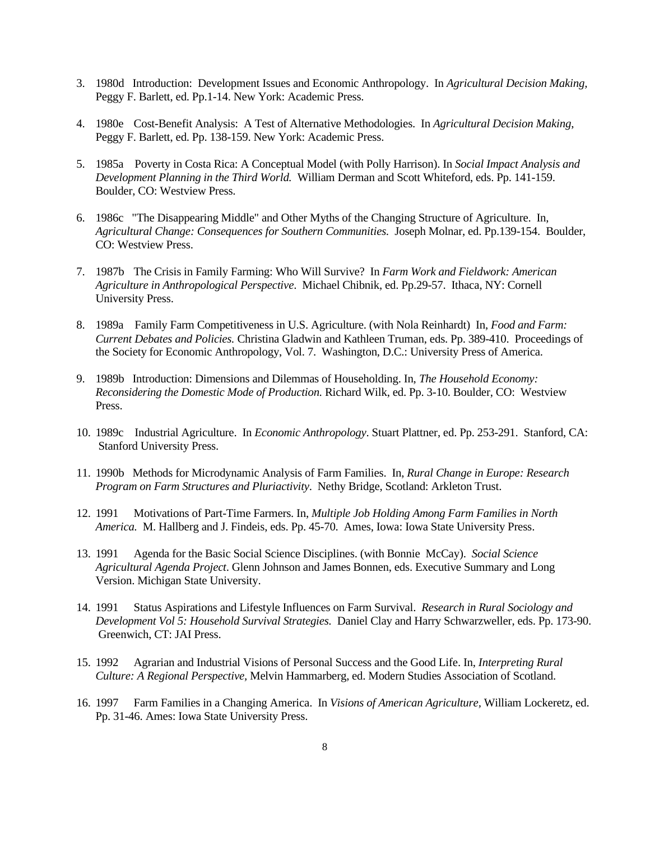- 3. 1980d Introduction: Development Issues and Economic Anthropology. In *Agricultural Decision Making,* Peggy F. Barlett, ed. Pp.1-14. New York: Academic Press.
- 4. 1980e Cost-Benefit Analysis: A Test of Alternative Methodologies. In *Agricultural Decision Making*, Peggy F. Barlett, ed. Pp. 138-159. New York: Academic Press.
- 5. 1985a Poverty in Costa Rica: A Conceptual Model (with Polly Harrison). In *Social Impact Analysis and Development Planning in the Third World.* William Derman and Scott Whiteford, eds. Pp. 141-159. Boulder, CO: Westview Press.
- 6. 1986c "The Disappearing Middle" and Other Myths of the Changing Structure of Agriculture. In, *Agricultural Change: Consequences for Southern Communities.* Joseph Molnar, ed. Pp.139-154. Boulder, CO: Westview Press.
- 7. 1987b The Crisis in Family Farming: Who Will Survive? In *Farm Work and Fieldwork: American Agriculture in Anthropological Perspective*. Michael Chibnik, ed. Pp.29-57. Ithaca, NY: Cornell University Press.
- 8. 1989a Family Farm Competitiveness in U.S. Agriculture. (with Nola Reinhardt)In, *Food and Farm: Current Debates and Policies.* Christina Gladwin and Kathleen Truman, eds. Pp. 389-410. Proceedings of the Society for Economic Anthropology, Vol. 7. Washington, D.C.: University Press of America.
- 9. 1989b Introduction: Dimensions and Dilemmas of Householding. In, *The Household Economy: Reconsidering the Domestic Mode of Production.* Richard Wilk, ed. Pp. 3-10. Boulder, CO: Westview Press.
- 10. 1989c Industrial Agriculture. In *Economic Anthropology*. Stuart Plattner, ed. Pp. 253-291. Stanford, CA: Stanford University Press.
- 11. 1990b Methods for Microdynamic Analysis of Farm Families. In, *Rural Change in Europe: Research Program on Farm Structures and Pluriactivity*. Nethy Bridge, Scotland: Arkleton Trust.
- 12. 1991 Motivations of Part-Time Farmers. In, *Multiple Job Holding Among Farm Families in North America.* M. Hallberg and J. Findeis, eds. Pp. 45-70. Ames, Iowa: Iowa State University Press.
- 13. 1991 Agenda for the Basic Social Science Disciplines. (with Bonnie McCay). *Social Science Agricultural Agenda Project*. Glenn Johnson and James Bonnen, eds. Executive Summary and Long Version. Michigan State University.
- 14. 1991 Status Aspirations and Lifestyle Influences on Farm Survival. *Research in Rural Sociology and Development Vol 5: Household Survival Strategies.* Daniel Clay and Harry Schwarzweller, eds. Pp. 173-90. Greenwich, CT: JAI Press.
- 15. 1992 Agrarian and Industrial Visions of Personal Success and the Good Life. In, *Interpreting Rural Culture: A Regional Perspective,* Melvin Hammarberg, ed. Modern Studies Association of Scotland.
- 16. 1997 Farm Families in a Changing America. In *Visions of American Agriculture,* William Lockeretz, ed. Pp. 31-46. Ames: Iowa State University Press.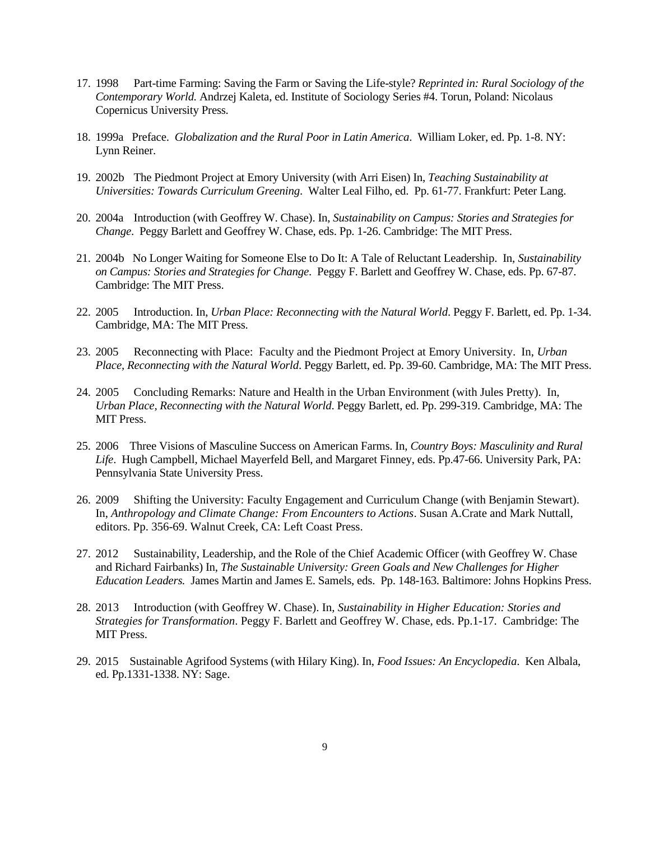- 17. 1998 Part-time Farming: Saving the Farm or Saving the Life-style? *Reprinted in: Rural Sociology of the Contemporary World.* Andrzej Kaleta, ed. Institute of Sociology Series #4. Torun, Poland: Nicolaus Copernicus University Press.
- 18. 1999a Preface. *Globalization and the Rural Poor in Latin America*. William Loker, ed. Pp. 1-8. NY: Lynn Reiner.
- 19. 2002b The Piedmont Project at Emory University (with Arri Eisen) In, *Teaching Sustainability at Universities: Towards Curriculum Greening*. Walter Leal Filho, ed. Pp. 61-77. Frankfurt: Peter Lang.
- 20. 2004a Introduction (with Geoffrey W. Chase). In, *Sustainability on Campus: Stories and Strategies for Change*. Peggy Barlett and Geoffrey W. Chase, eds. Pp. 1-26. Cambridge: The MIT Press.
- 21. 2004b No Longer Waiting for Someone Else to Do It: A Tale of Reluctant Leadership. In, *Sustainability on Campus: Stories and Strategies for Change*. Peggy F. Barlett and Geoffrey W. Chase, eds. Pp. 67-87. Cambridge: The MIT Press.
- 22. 2005 Introduction. In, *Urban Place: Reconnecting with the Natural World*. Peggy F. Barlett, ed. Pp. 1-34. Cambridge, MA: The MIT Press.
- 23. 2005 Reconnecting with Place: Faculty and the Piedmont Project at Emory University. In, *Urban Place, Reconnecting with the Natural World*. Peggy Barlett, ed. Pp. 39-60. Cambridge, MA: The MIT Press.
- 24. 2005 Concluding Remarks: Nature and Health in the Urban Environment (with Jules Pretty). In, *Urban Place, Reconnecting with the Natural World*. Peggy Barlett, ed. Pp. 299-319. Cambridge, MA: The MIT Press.
- 25. 2006 Three Visions of Masculine Success on American Farms. In, *Country Boys: Masculinity and Rural Life*. Hugh Campbell, Michael Mayerfeld Bell, and Margaret Finney, eds. Pp.47-66. University Park, PA: Pennsylvania State University Press.
- 26. 2009 Shifting the University: Faculty Engagement and Curriculum Change (with Benjamin Stewart). In, *Anthropology and Climate Change: From Encounters to Actions*. Susan A.Crate and Mark Nuttall, editors. Pp. 356-69. Walnut Creek, CA: Left Coast Press.
- 27. 2012 Sustainability, Leadership, and the Role of the Chief Academic Officer (with Geoffrey W. Chase and Richard Fairbanks) In, *The Sustainable University: Green Goals and New Challenges for Higher Education Leaders.* James Martin and James E. Samels, eds. Pp. 148-163. Baltimore: Johns Hopkins Press.
- 28. 2013 Introduction (with Geoffrey W. Chase). In, *Sustainability in Higher Education: Stories and Strategies for Transformation*. Peggy F. Barlett and Geoffrey W. Chase, eds. Pp.1-17. Cambridge: The MIT Press.
- 29. 2015 Sustainable Agrifood Systems (with Hilary King). In, *Food Issues: An Encyclopedia*. Ken Albala, ed. Pp.1331-1338. NY: Sage.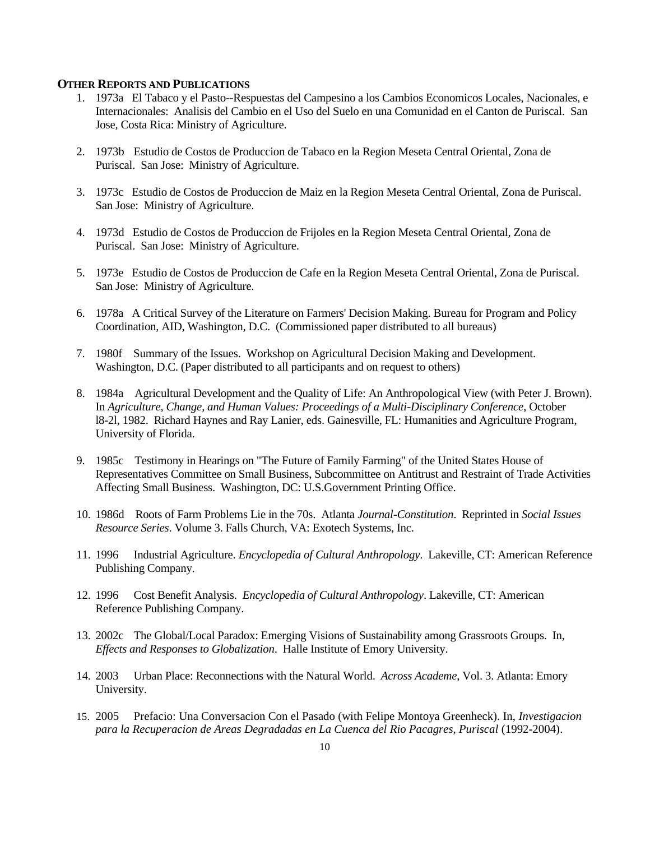#### **OTHER REPORTS AND PUBLICATIONS**

- 1. 1973a El Tabaco y el Pasto--Respuestas del Campesino a los Cambios Economicos Locales, Nacionales, e Internacionales: Analisis del Cambio en el Uso del Suelo en una Comunidad en el Canton de Puriscal. San Jose, Costa Rica: Ministry of Agriculture.
- 2. 1973b Estudio de Costos de Produccion de Tabaco en la Region Meseta Central Oriental, Zona de Puriscal. San Jose: Ministry of Agriculture.
- 3. 1973c Estudio de Costos de Produccion de Maiz en la Region Meseta Central Oriental, Zona de Puriscal. San Jose: Ministry of Agriculture.
- 4. 1973d Estudio de Costos de Produccion de Frijoles en la Region Meseta Central Oriental, Zona de Puriscal. San Jose: Ministry of Agriculture.
- 5. 1973e Estudio de Costos de Produccion de Cafe en la Region Meseta Central Oriental, Zona de Puriscal. San Jose: Ministry of Agriculture.
- 6. 1978a A Critical Survey of the Literature on Farmers' Decision Making. Bureau for Program and Policy Coordination, AID, Washington, D.C. (Commissioned paper distributed to all bureaus)
- 7. 1980f Summary of the Issues. Workshop on Agricultural Decision Making and Development. Washington, D.C. (Paper distributed to all participants and on request to others)
- 8. 1984a Agricultural Development and the Quality of Life: An Anthropological View (with Peter J. Brown). In *Agriculture, Change, and Human Values: Proceedings of a Multi-Disciplinary Conference*, October l8-2l, 1982. Richard Haynes and Ray Lanier, eds. Gainesville, FL: Humanities and Agriculture Program, University of Florida.
- 9. 1985c Testimony in Hearings on "The Future of Family Farming" of the United States House of Representatives Committee on Small Business, Subcommittee on Antitrust and Restraint of Trade Activities Affecting Small Business. Washington, DC: U.S.Government Printing Office.
- 10. 1986d Roots of Farm Problems Lie in the 70s. Atlanta *Journal-Constitution*. Reprinted in *Social Issues Resource Series*. Volume 3. Falls Church, VA: Exotech Systems, Inc.
- 11. 1996 Industrial Agriculture. *Encyclopedia of Cultural Anthropology*. Lakeville, CT: American Reference Publishing Company.
- 12. 1996 Cost Benefit Analysis. *Encyclopedia of Cultural Anthropology*. Lakeville, CT: American Reference Publishing Company.
- 13. 2002c The Global/Local Paradox: Emerging Visions of Sustainability among Grassroots Groups. In, *Effects and Responses to Globalization*. Halle Institute of Emory University.
- 14. 2003 Urban Place: Reconnections with the Natural World. *Across Academe*, Vol. 3. Atlanta: Emory University.
- 15. 2005 Prefacio: Una Conversacion Con el Pasado (with Felipe Montoya Greenheck). In, *Investigacion para la Recuperacion de Areas Degradadas en La Cuenca del Rio Pacagres, Puriscal* (1992-2004).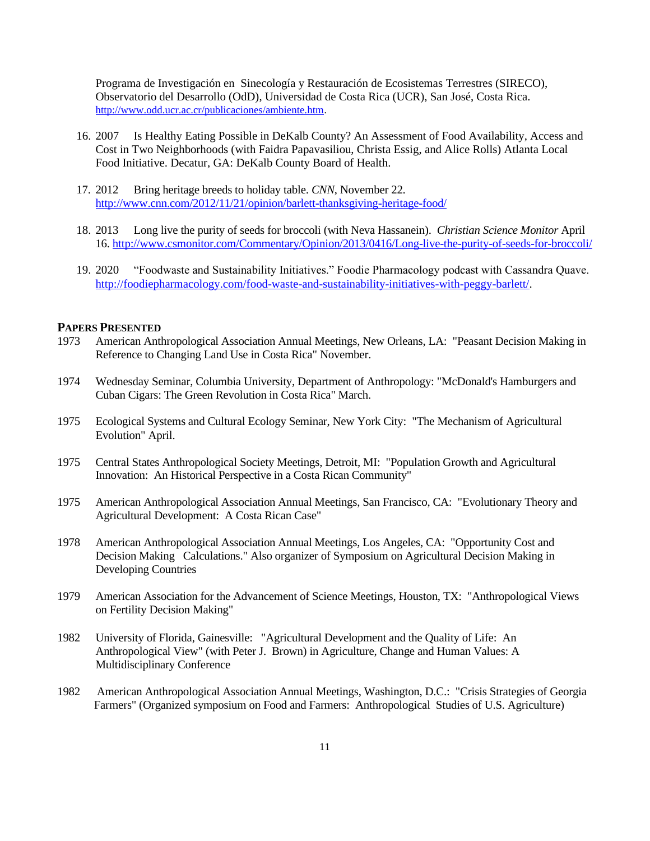Programa de Investigación en Sinecología y Restauración de Ecosistemas Terrestres (SIRECO), Observatorio del Desarrollo (OdD), Universidad de Costa Rica (UCR), San José, Costa Rica. [http://www.odd.ucr.ac.cr/publicaciones/ambiente.htm.](http://www.odd.ucr.ac.cr/publicaciones/ambiente.htm)

- 16. 2007 Is Healthy Eating Possible in DeKalb County? An Assessment of Food Availability, Access and Cost in Two Neighborhoods (with Faidra Papavasiliou, Christa Essig, and Alice Rolls) Atlanta Local Food Initiative. Decatur, GA: DeKalb County Board of Health.
- 17. 2012 Bring heritage breeds to holiday table. *CNN*, November 22. <http://www.cnn.com/2012/11/21/opinion/barlett-thanksgiving-heritage-food/>
- 18. 2013 Long live the purity of seeds for broccoli (with Neva Hassanein). *Christian Science Monitor* April 16.<http://www.csmonitor.com/Commentary/Opinion/2013/0416/Long-live-the-purity-of-seeds-for-broccoli/>
- 19. 2020 "Foodwaste and Sustainability Initiatives." Foodie Pharmacology podcast with Cassandra Quave. [http://foodiepharmacology.com/food-waste-and-sustainability-initiatives-with-peggy-barlett/.](http://foodiepharmacology.com/food-waste-and-sustainability-initiatives-with-peggy-barlett/)

# **PAPERS PRESENTED**

- 1973 American Anthropological Association Annual Meetings, New Orleans, LA: "Peasant Decision Making in Reference to Changing Land Use in Costa Rica" November.
- 1974 Wednesday Seminar, Columbia University, Department of Anthropology: "McDonald's Hamburgers and Cuban Cigars: The Green Revolution in Costa Rica" March.
- 1975 Ecological Systems and Cultural Ecology Seminar, New York City: "The Mechanism of Agricultural Evolution" April.
- 1975 Central States Anthropological Society Meetings, Detroit, MI: "Population Growth and Agricultural Innovation: An Historical Perspective in a Costa Rican Community"
- 1975 American Anthropological Association Annual Meetings, San Francisco, CA: "Evolutionary Theory and Agricultural Development: A Costa Rican Case"
- 1978 American Anthropological Association Annual Meetings, Los Angeles, CA: "Opportunity Cost and Decision Making Calculations." Also organizer of Symposium on Agricultural Decision Making in Developing Countries
- 1979 American Association for the Advancement of Science Meetings, Houston, TX: "Anthropological Views on Fertility Decision Making"
- 1982 University of Florida, Gainesville: "Agricultural Development and the Quality of Life: An Anthropological View" (with Peter J. Brown) in Agriculture, Change and Human Values: A Multidisciplinary Conference
- 1982 American Anthropological Association Annual Meetings, Washington, D.C.: "Crisis Strategies of Georgia Farmers" (Organized symposium on Food and Farmers: Anthropological Studies of U.S. Agriculture)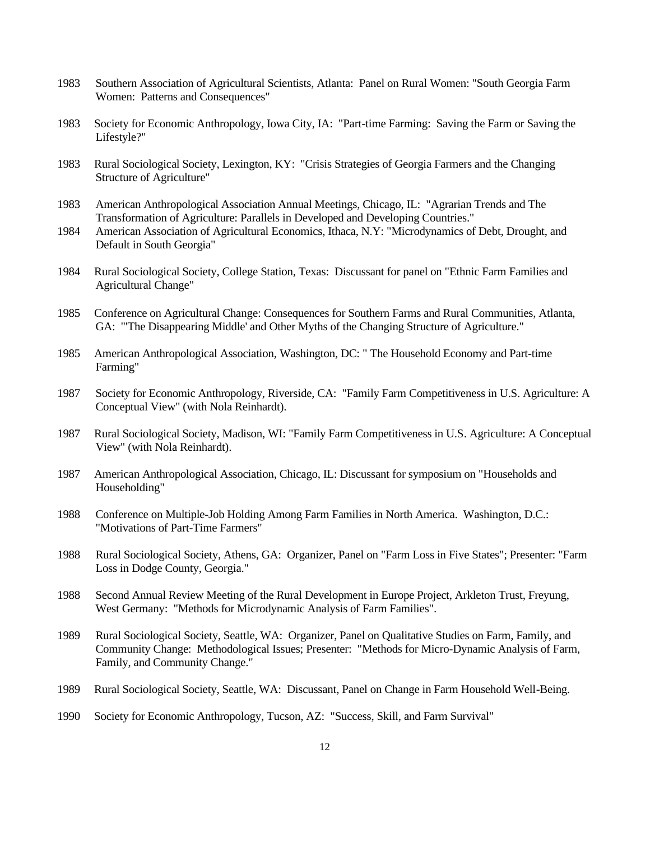- 1983 Southern Association of Agricultural Scientists, Atlanta: Panel on Rural Women: "South Georgia Farm Women: Patterns and Consequences"
- 1983 Society for Economic Anthropology, Iowa City, IA: "Part-time Farming: Saving the Farm or Saving the Lifestyle?"
- 1983 Rural Sociological Society, Lexington, KY: "Crisis Strategies of Georgia Farmers and the Changing Structure of Agriculture"
- 1983 American Anthropological Association Annual Meetings, Chicago, IL: "Agrarian Trends and The Transformation of Agriculture: Parallels in Developed and Developing Countries."
- 1984 American Association of Agricultural Economics, Ithaca, N.Y: "Microdynamics of Debt, Drought, and Default in South Georgia"
- 1984 Rural Sociological Society, College Station, Texas: Discussant for panel on "Ethnic Farm Families and Agricultural Change"
- 1985 Conference on Agricultural Change: Consequences for Southern Farms and Rural Communities, Atlanta, GA: "'The Disappearing Middle' and Other Myths of the Changing Structure of Agriculture."
- 1985 American Anthropological Association, Washington, DC: " The Household Economy and Part-time Farming"
- 1987 Society for Economic Anthropology, Riverside, CA: "Family Farm Competitiveness in U.S. Agriculture: A Conceptual View" (with Nola Reinhardt).
- 1987 Rural Sociological Society, Madison, WI: "Family Farm Competitiveness in U.S. Agriculture: A Conceptual View" (with Nola Reinhardt).
- 1987 American Anthropological Association, Chicago, IL: Discussant for symposium on "Households and Householding"
- 1988 Conference on Multiple-Job Holding Among Farm Families in North America. Washington, D.C.: "Motivations of Part-Time Farmers"
- 1988 Rural Sociological Society, Athens, GA: Organizer, Panel on "Farm Loss in Five States"; Presenter: "Farm Loss in Dodge County, Georgia."
- 1988 Second Annual Review Meeting of the Rural Development in Europe Project, Arkleton Trust, Freyung, West Germany: "Methods for Microdynamic Analysis of Farm Families".
- 1989 Rural Sociological Society, Seattle, WA: Organizer, Panel on Qualitative Studies on Farm, Family, and Community Change: Methodological Issues; Presenter: "Methods for Micro-Dynamic Analysis of Farm, Family, and Community Change."
- 1989 Rural Sociological Society, Seattle, WA: Discussant, Panel on Change in Farm Household Well-Being.
- 1990 Society for Economic Anthropology, Tucson, AZ: "Success, Skill, and Farm Survival"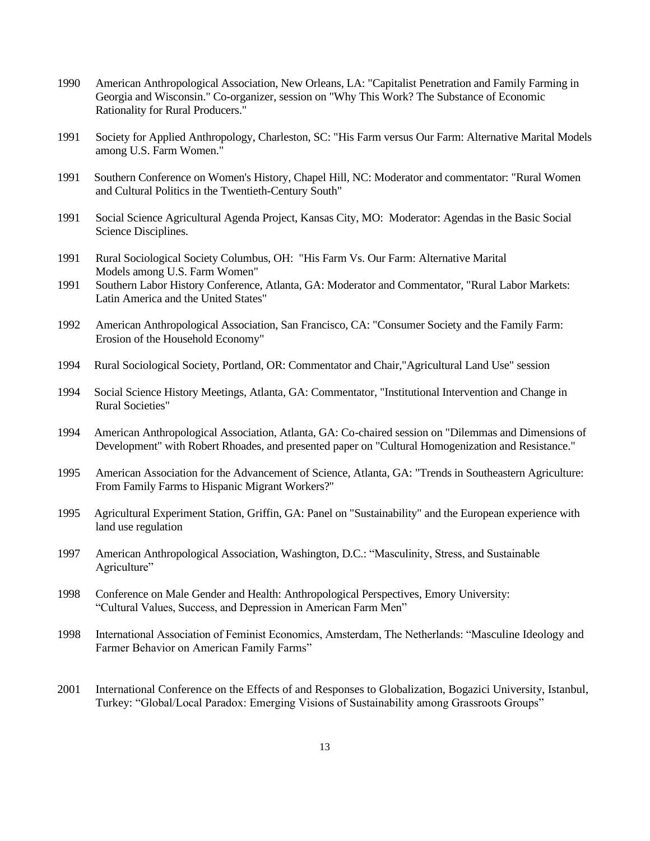- 1990 American Anthropological Association, New Orleans, LA: "Capitalist Penetration and Family Farming in Georgia and Wisconsin." Co-organizer, session on "Why This Work? The Substance of Economic Rationality for Rural Producers."
- 1991 Society for Applied Anthropology, Charleston, SC: "His Farm versus Our Farm: Alternative Marital Models among U.S. Farm Women."
- 1991 Southern Conference on Women's History, Chapel Hill, NC: Moderator and commentator: "Rural Women and Cultural Politics in the Twentieth-Century South"
- 1991 Social Science Agricultural Agenda Project, Kansas City, MO: Moderator: Agendas in the Basic Social Science Disciplines.
- 1991 Rural Sociological Society Columbus, OH: "His Farm Vs. Our Farm: Alternative Marital Models among U.S. Farm Women"
- 1991 Southern Labor History Conference, Atlanta, GA: Moderator and Commentator, "Rural Labor Markets: Latin America and the United States"
- 1992 American Anthropological Association, San Francisco, CA: "Consumer Society and the Family Farm: Erosion of the Household Economy"
- 1994 Rural Sociological Society, Portland, OR: Commentator and Chair,"Agricultural Land Use" session
- 1994 Social Science History Meetings, Atlanta, GA: Commentator, "Institutional Intervention and Change in Rural Societies"
- 1994 American Anthropological Association, Atlanta, GA: Co-chaired session on "Dilemmas and Dimensions of Development" with Robert Rhoades, and presented paper on "Cultural Homogenization and Resistance."
- 1995 American Association for the Advancement of Science, Atlanta, GA: "Trends in Southeastern Agriculture: From Family Farms to Hispanic Migrant Workers?"
- 1995 Agricultural Experiment Station, Griffin, GA: Panel on "Sustainability" and the European experience with land use regulation
- 1997 American Anthropological Association, Washington, D.C.: "Masculinity, Stress, and Sustainable Agriculture"
- 1998 Conference on Male Gender and Health: Anthropological Perspectives, Emory University: "Cultural Values, Success, and Depression in American Farm Men"
- 1998 International Association of Feminist Economics, Amsterdam, The Netherlands: "Masculine Ideology and Farmer Behavior on American Family Farms"
- 2001 International Conference on the Effects of and Responses to Globalization, Bogazici University, Istanbul, Turkey: "Global/Local Paradox: Emerging Visions of Sustainability among Grassroots Groups"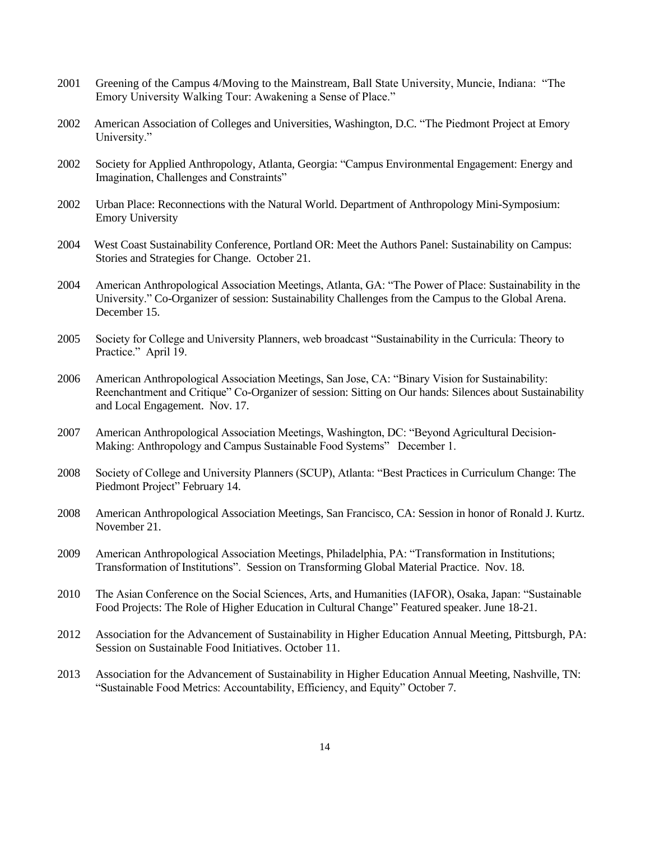- 2001 Greening of the Campus 4/Moving to the Mainstream, Ball State University, Muncie, Indiana: "The Emory University Walking Tour: Awakening a Sense of Place."
- 2002 American Association of Colleges and Universities, Washington, D.C. "The Piedmont Project at Emory University."
- 2002 Society for Applied Anthropology, Atlanta, Georgia: "Campus Environmental Engagement: Energy and Imagination, Challenges and Constraints"
- 2002 Urban Place: Reconnections with the Natural World. Department of Anthropology Mini-Symposium: Emory University
- 2004 West Coast Sustainability Conference, Portland OR: Meet the Authors Panel: Sustainability on Campus: Stories and Strategies for Change. October 21.
- 2004 American Anthropological Association Meetings, Atlanta, GA: "The Power of Place: Sustainability in the University." Co-Organizer of session: Sustainability Challenges from the Campus to the Global Arena. December 15.
- 2005 Society for College and University Planners, web broadcast "Sustainability in the Curricula: Theory to Practice." April 19.
- 2006 American Anthropological Association Meetings, San Jose, CA: "Binary Vision for Sustainability: Reenchantment and Critique" Co-Organizer of session: Sitting on Our hands: Silences about Sustainability and Local Engagement. Nov. 17.
- 2007 American Anthropological Association Meetings, Washington, DC: "Beyond Agricultural Decision-Making: Anthropology and Campus Sustainable Food Systems" December 1.
- 2008 Society of College and University Planners (SCUP), Atlanta: "Best Practices in Curriculum Change: The Piedmont Project" February 14.
- 2008 American Anthropological Association Meetings, San Francisco, CA: Session in honor of Ronald J. Kurtz. November 21.
- 2009 American Anthropological Association Meetings, Philadelphia, PA: "Transformation in Institutions; Transformation of Institutions". Session on Transforming Global Material Practice. Nov. 18.
- 2010 The Asian Conference on the Social Sciences, Arts, and Humanities (IAFOR), Osaka, Japan: "Sustainable Food Projects: The Role of Higher Education in Cultural Change" Featured speaker. June 18-21.
- 2012 Association for the Advancement of Sustainability in Higher Education Annual Meeting, Pittsburgh, PA: Session on Sustainable Food Initiatives. October 11.
- 2013 Association for the Advancement of Sustainability in Higher Education Annual Meeting, Nashville, TN: "Sustainable Food Metrics: Accountability, Efficiency, and Equity" October 7.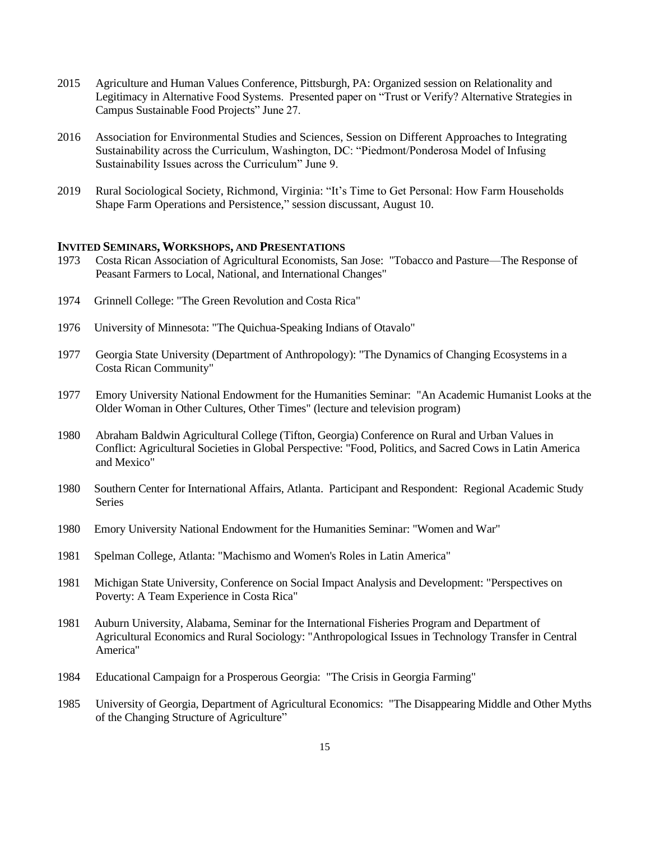- 2015 Agriculture and Human Values Conference, Pittsburgh, PA: Organized session on Relationality and Legitimacy in Alternative Food Systems. Presented paper on "Trust or Verify? Alternative Strategies in Campus Sustainable Food Projects" June 27.
- 2016 Association for Environmental Studies and Sciences, Session on Different Approaches to Integrating Sustainability across the Curriculum, Washington, DC: "Piedmont/Ponderosa Model of Infusing Sustainability Issues across the Curriculum" June 9.
- 2019 Rural Sociological Society, Richmond, Virginia: "It's Time to Get Personal: How Farm Households Shape Farm Operations and Persistence," session discussant, August 10.

#### **INVITED SEMINARS, WORKSHOPS, AND PRESENTATIONS**

- 1973 Costa Rican Association of Agricultural Economists, San Jose: "Tobacco and Pasture—The Response of Peasant Farmers to Local, National, and International Changes"
- 1974 Grinnell College: "The Green Revolution and Costa Rica"
- 1976 University of Minnesota: "The Quichua-Speaking Indians of Otavalo"
- 1977 Georgia State University (Department of Anthropology): "The Dynamics of Changing Ecosystems in a Costa Rican Community"
- 1977 Emory University National Endowment for the Humanities Seminar: "An Academic Humanist Looks at the Older Woman in Other Cultures, Other Times" (lecture and television program)
- 1980 Abraham Baldwin Agricultural College (Tifton, Georgia) Conference on Rural and Urban Values in Conflict: Agricultural Societies in Global Perspective: "Food, Politics, and Sacred Cows in Latin America and Mexico"
- 1980 Southern Center for International Affairs, Atlanta. Participant and Respondent: Regional Academic Study Series
- 1980 Emory University National Endowment for the Humanities Seminar: "Women and War"
- 1981 Spelman College, Atlanta: "Machismo and Women's Roles in Latin America"
- 1981 Michigan State University, Conference on Social Impact Analysis and Development: "Perspectives on Poverty: A Team Experience in Costa Rica"
- 1981 Auburn University, Alabama, Seminar for the International Fisheries Program and Department of Agricultural Economics and Rural Sociology: "Anthropological Issues in Technology Transfer in Central America"
- 1984 Educational Campaign for a Prosperous Georgia: "The Crisis in Georgia Farming"
- 1985 University of Georgia, Department of Agricultural Economics: "The Disappearing Middle and Other Myths of the Changing Structure of Agriculture"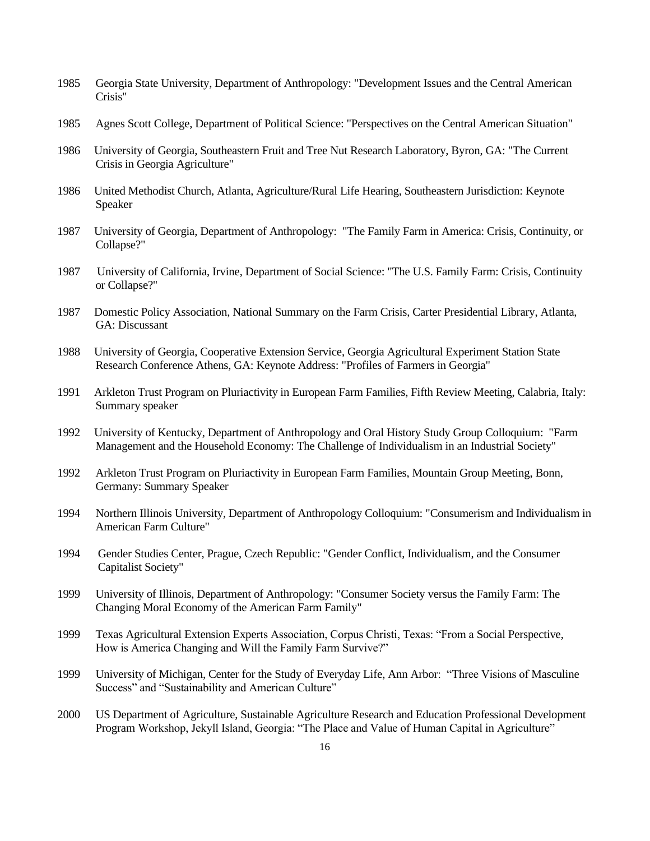- 1985 Georgia State University, Department of Anthropology: "Development Issues and the Central American Crisis"
- 1985 Agnes Scott College, Department of Political Science: "Perspectives on the Central American Situation"
- 1986 University of Georgia, Southeastern Fruit and Tree Nut Research Laboratory, Byron, GA: "The Current Crisis in Georgia Agriculture"
- 1986 United Methodist Church, Atlanta, Agriculture/Rural Life Hearing, Southeastern Jurisdiction: Keynote Speaker
- 1987 University of Georgia, Department of Anthropology: "The Family Farm in America: Crisis, Continuity, or Collapse?"
- 1987 University of California, Irvine, Department of Social Science: "The U.S. Family Farm: Crisis, Continuity or Collapse?"
- 1987 Domestic Policy Association, National Summary on the Farm Crisis, Carter Presidential Library, Atlanta, GA: Discussant
- 1988 University of Georgia, Cooperative Extension Service, Georgia Agricultural Experiment Station State Research Conference Athens, GA: Keynote Address: "Profiles of Farmers in Georgia"
- 1991 Arkleton Trust Program on Pluriactivity in European Farm Families, Fifth Review Meeting, Calabria, Italy: Summary speaker
- 1992 University of Kentucky, Department of Anthropology and Oral History Study Group Colloquium: "Farm Management and the Household Economy: The Challenge of Individualism in an Industrial Society"
- 1992 Arkleton Trust Program on Pluriactivity in European Farm Families, Mountain Group Meeting, Bonn, Germany: Summary Speaker
- 1994 Northern Illinois University, Department of Anthropology Colloquium: "Consumerism and Individualism in American Farm Culture"
- 1994 Gender Studies Center, Prague, Czech Republic: "Gender Conflict, Individualism, and the Consumer Capitalist Society"
- 1999 University of Illinois, Department of Anthropology: "Consumer Society versus the Family Farm: The Changing Moral Economy of the American Farm Family"
- 1999 Texas Agricultural Extension Experts Association, Corpus Christi, Texas: "From a Social Perspective, How is America Changing and Will the Family Farm Survive?"
- 1999 University of Michigan, Center for the Study of Everyday Life, Ann Arbor: "Three Visions of Masculine Success" and "Sustainability and American Culture"
- 2000 US Department of Agriculture, Sustainable Agriculture Research and Education Professional Development Program Workshop, Jekyll Island, Georgia: "The Place and Value of Human Capital in Agriculture"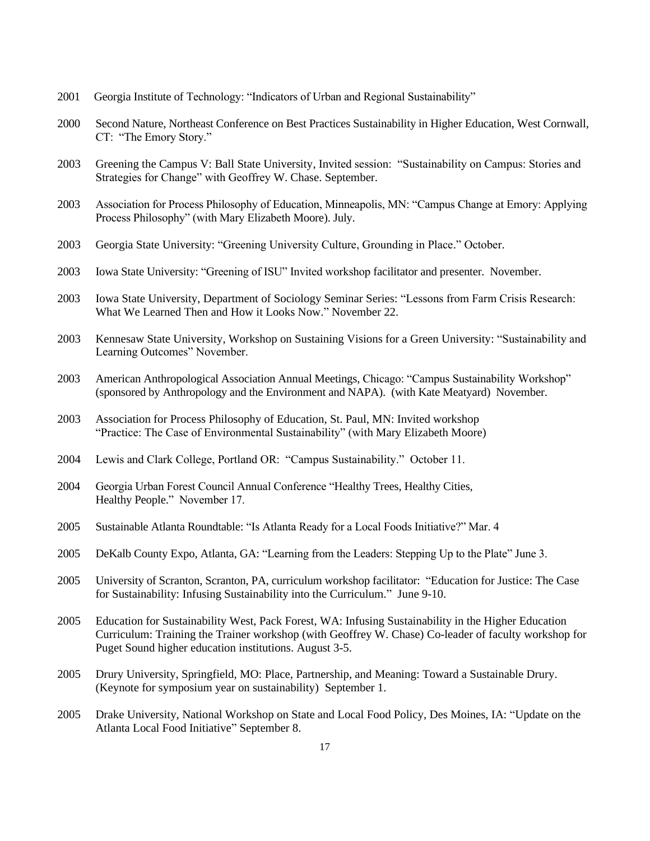- 2001 Georgia Institute of Technology: "Indicators of Urban and Regional Sustainability"
- 2000 Second Nature, Northeast Conference on Best Practices Sustainability in Higher Education, West Cornwall, CT: "The Emory Story."
- 2003 Greening the Campus V: Ball State University, Invited session: "Sustainability on Campus: Stories and Strategies for Change" with Geoffrey W. Chase. September.
- 2003 Association for Process Philosophy of Education, Minneapolis, MN: "Campus Change at Emory: Applying Process Philosophy" (with Mary Elizabeth Moore). July.
- 2003 Georgia State University: "Greening University Culture, Grounding in Place." October.
- 2003 Iowa State University: "Greening of ISU" Invited workshop facilitator and presenter. November.
- 2003 Iowa State University, Department of Sociology Seminar Series: "Lessons from Farm Crisis Research: What We Learned Then and How it Looks Now." November 22.
- 2003 Kennesaw State University, Workshop on Sustaining Visions for a Green University: "Sustainability and Learning Outcomes" November.
- 2003 American Anthropological Association Annual Meetings, Chicago: "Campus Sustainability Workshop" (sponsored by Anthropology and the Environment and NAPA). (with Kate Meatyard) November.
- 2003 Association for Process Philosophy of Education, St. Paul, MN: Invited workshop "Practice: The Case of Environmental Sustainability" (with Mary Elizabeth Moore)
- 2004 Lewis and Clark College, Portland OR: "Campus Sustainability." October 11.
- 2004 Georgia Urban Forest Council Annual Conference "Healthy Trees, Healthy Cities, Healthy People." November 17.
- 2005 Sustainable Atlanta Roundtable: "Is Atlanta Ready for a Local Foods Initiative?" Mar. 4
- 2005 DeKalb County Expo, Atlanta, GA: "Learning from the Leaders: Stepping Up to the Plate" June 3.
- 2005 University of Scranton, Scranton, PA, curriculum workshop facilitator: "Education for Justice: The Case for Sustainability: Infusing Sustainability into the Curriculum." June 9-10.
- 2005 Education for Sustainability West, Pack Forest, WA: Infusing Sustainability in the Higher Education Curriculum: Training the Trainer workshop (with Geoffrey W. Chase) Co-leader of faculty workshop for Puget Sound higher education institutions. August 3-5.
- 2005 Drury University, Springfield, MO: Place, Partnership, and Meaning: Toward a Sustainable Drury. (Keynote for symposium year on sustainability) September 1.
- 2005 Drake University, National Workshop on State and Local Food Policy, Des Moines, IA: "Update on the Atlanta Local Food Initiative" September 8.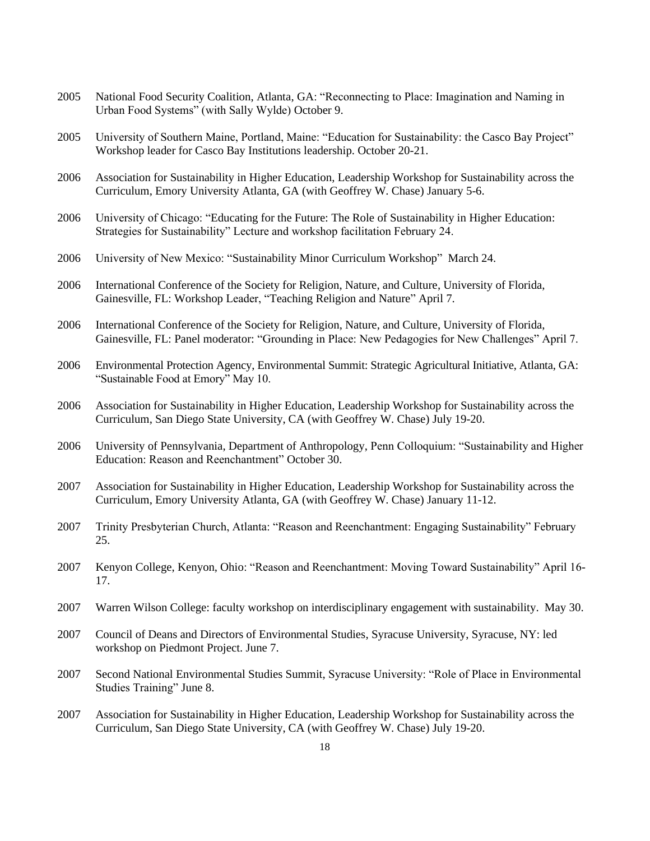- 2005 National Food Security Coalition, Atlanta, GA: "Reconnecting to Place: Imagination and Naming in Urban Food Systems" (with Sally Wylde) October 9.
- 2005 University of Southern Maine, Portland, Maine: "Education for Sustainability: the Casco Bay Project" Workshop leader for Casco Bay Institutions leadership. October 20-21.
- 2006 Association for Sustainability in Higher Education, Leadership Workshop for Sustainability across the Curriculum, Emory University Atlanta, GA (with Geoffrey W. Chase) January 5-6.
- 2006 University of Chicago: "Educating for the Future: The Role of Sustainability in Higher Education: Strategies for Sustainability" Lecture and workshop facilitation February 24.
- 2006 University of New Mexico: "Sustainability Minor Curriculum Workshop" March 24.
- 2006 International Conference of the Society for Religion, Nature, and Culture, University of Florida, Gainesville, FL: Workshop Leader, "Teaching Religion and Nature" April 7.
- 2006 International Conference of the Society for Religion, Nature, and Culture, University of Florida, Gainesville, FL: Panel moderator: "Grounding in Place: New Pedagogies for New Challenges" April 7.
- 2006 Environmental Protection Agency, Environmental Summit: Strategic Agricultural Initiative, Atlanta, GA: "Sustainable Food at Emory" May 10.
- 2006 Association for Sustainability in Higher Education, Leadership Workshop for Sustainability across the Curriculum, San Diego State University, CA (with Geoffrey W. Chase) July 19-20.
- 2006 University of Pennsylvania, Department of Anthropology, Penn Colloquium: "Sustainability and Higher Education: Reason and Reenchantment" October 30.
- 2007 Association for Sustainability in Higher Education, Leadership Workshop for Sustainability across the Curriculum, Emory University Atlanta, GA (with Geoffrey W. Chase) January 11-12.
- 2007 Trinity Presbyterian Church, Atlanta: "Reason and Reenchantment: Engaging Sustainability" February 25.
- 2007 Kenyon College, Kenyon, Ohio: "Reason and Reenchantment: Moving Toward Sustainability" April 16- 17.
- 2007 Warren Wilson College: faculty workshop on interdisciplinary engagement with sustainability. May 30.
- 2007 Council of Deans and Directors of Environmental Studies, Syracuse University, Syracuse, NY: led workshop on Piedmont Project. June 7.
- 2007 Second National Environmental Studies Summit, Syracuse University: "Role of Place in Environmental Studies Training" June 8.
- 2007 Association for Sustainability in Higher Education, Leadership Workshop for Sustainability across the Curriculum, San Diego State University, CA (with Geoffrey W. Chase) July 19-20.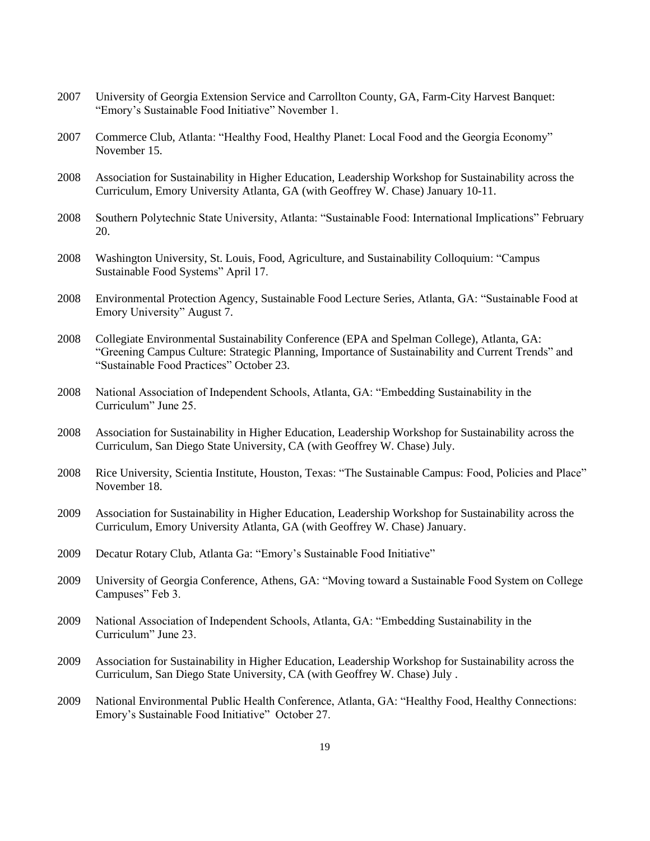- 2007 University of Georgia Extension Service and Carrollton County, GA, Farm-City Harvest Banquet: "Emory's Sustainable Food Initiative" November 1.
- 2007 Commerce Club, Atlanta: "Healthy Food, Healthy Planet: Local Food and the Georgia Economy" November 15.
- 2008 Association for Sustainability in Higher Education, Leadership Workshop for Sustainability across the Curriculum, Emory University Atlanta, GA (with Geoffrey W. Chase) January 10-11.
- 2008 Southern Polytechnic State University, Atlanta: "Sustainable Food: International Implications" February 20.
- 2008 Washington University, St. Louis, Food, Agriculture, and Sustainability Colloquium: "Campus Sustainable Food Systems" April 17.
- 2008 Environmental Protection Agency, Sustainable Food Lecture Series, Atlanta, GA: "Sustainable Food at Emory University" August 7.
- 2008 Collegiate Environmental Sustainability Conference (EPA and Spelman College), Atlanta, GA: "Greening Campus Culture: Strategic Planning, Importance of Sustainability and Current Trends" and "Sustainable Food Practices" October 23.
- 2008 National Association of Independent Schools, Atlanta, GA: "Embedding Sustainability in the Curriculum" June 25.
- 2008 Association for Sustainability in Higher Education, Leadership Workshop for Sustainability across the Curriculum, San Diego State University, CA (with Geoffrey W. Chase) July.
- 2008 Rice University, Scientia Institute, Houston, Texas: "The Sustainable Campus: Food, Policies and Place" November 18.
- 2009 Association for Sustainability in Higher Education, Leadership Workshop for Sustainability across the Curriculum, Emory University Atlanta, GA (with Geoffrey W. Chase) January.
- 2009 Decatur Rotary Club, Atlanta Ga: "Emory's Sustainable Food Initiative"
- 2009 University of Georgia Conference, Athens, GA: "Moving toward a Sustainable Food System on College Campuses" Feb 3.
- 2009 National Association of Independent Schools, Atlanta, GA: "Embedding Sustainability in the Curriculum" June 23.
- 2009 Association for Sustainability in Higher Education, Leadership Workshop for Sustainability across the Curriculum, San Diego State University, CA (with Geoffrey W. Chase) July .
- 2009 National Environmental Public Health Conference, Atlanta, GA: "Healthy Food, Healthy Connections: Emory's Sustainable Food Initiative" October 27.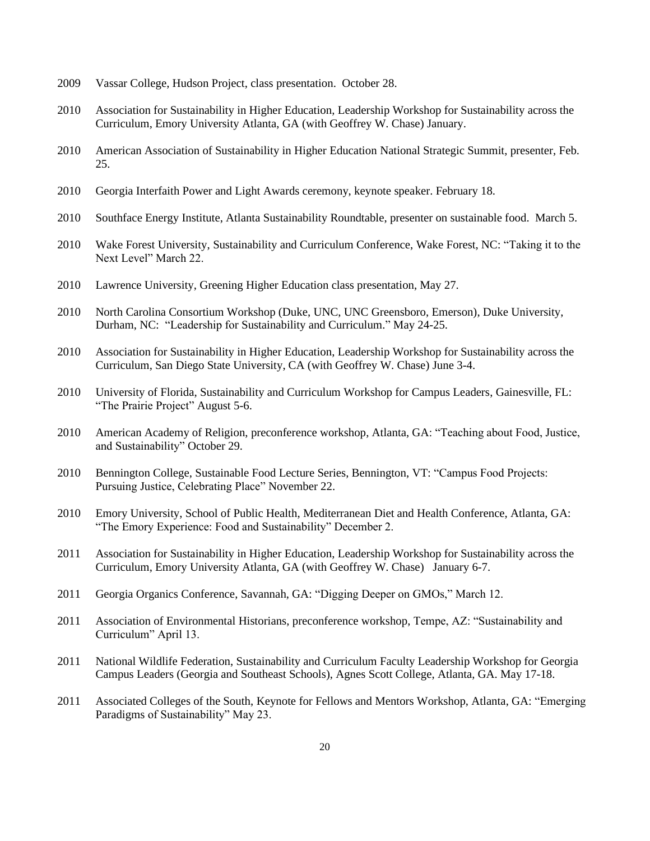- 2009 Vassar College, Hudson Project, class presentation. October 28.
- 2010 Association for Sustainability in Higher Education, Leadership Workshop for Sustainability across the Curriculum, Emory University Atlanta, GA (with Geoffrey W. Chase) January.
- 2010 American Association of Sustainability in Higher Education National Strategic Summit, presenter, Feb. 25.
- 2010 Georgia Interfaith Power and Light Awards ceremony, keynote speaker. February 18.
- 2010 Southface Energy Institute, Atlanta Sustainability Roundtable, presenter on sustainable food. March 5.
- 2010 Wake Forest University, Sustainability and Curriculum Conference, Wake Forest, NC: "Taking it to the Next Level" March 22.
- 2010 Lawrence University, Greening Higher Education class presentation, May 27.
- 2010 North Carolina Consortium Workshop (Duke, UNC, UNC Greensboro, Emerson), Duke University, Durham, NC: "Leadership for Sustainability and Curriculum." May 24-25.
- 2010 Association for Sustainability in Higher Education, Leadership Workshop for Sustainability across the Curriculum, San Diego State University, CA (with Geoffrey W. Chase) June 3-4.
- 2010 University of Florida, Sustainability and Curriculum Workshop for Campus Leaders, Gainesville, FL: "The Prairie Project" August 5-6.
- 2010 American Academy of Religion, preconference workshop, Atlanta, GA: "Teaching about Food, Justice, and Sustainability" October 29.
- 2010 Bennington College, Sustainable Food Lecture Series, Bennington, VT: "Campus Food Projects: Pursuing Justice, Celebrating Place" November 22.
- 2010 Emory University, School of Public Health, Mediterranean Diet and Health Conference, Atlanta, GA: "The Emory Experience: Food and Sustainability" December 2.
- 2011 Association for Sustainability in Higher Education, Leadership Workshop for Sustainability across the Curriculum, Emory University Atlanta, GA (with Geoffrey W. Chase) January 6-7.
- 2011 Georgia Organics Conference, Savannah, GA: "Digging Deeper on GMOs," March 12.
- 2011 Association of Environmental Historians, preconference workshop, Tempe, AZ: "Sustainability and Curriculum" April 13.
- 2011 National Wildlife Federation, Sustainability and Curriculum Faculty Leadership Workshop for Georgia Campus Leaders (Georgia and Southeast Schools), Agnes Scott College, Atlanta, GA. May 17-18.
- 2011 Associated Colleges of the South, Keynote for Fellows and Mentors Workshop, Atlanta, GA: "Emerging Paradigms of Sustainability" May 23.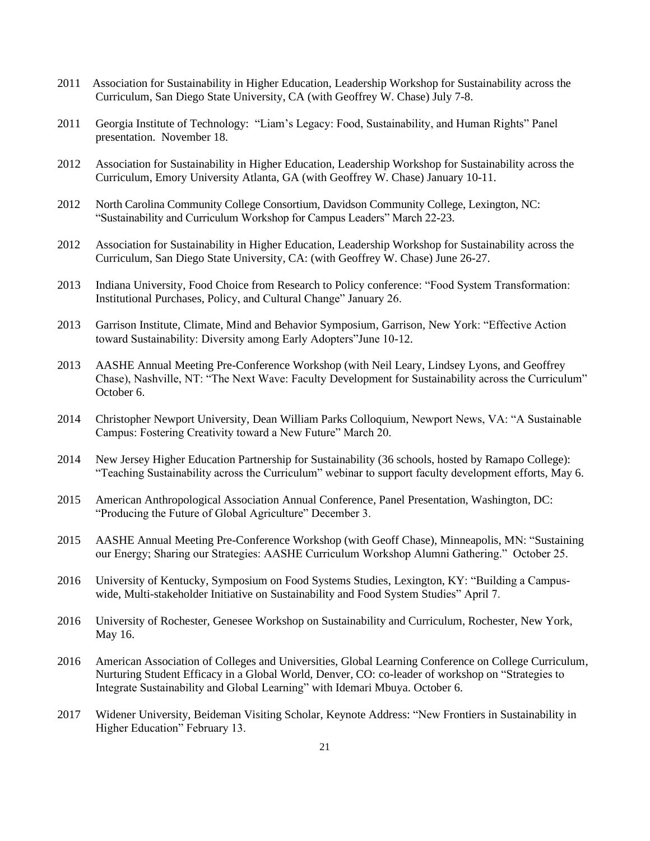- 2011 Association for Sustainability in Higher Education, Leadership Workshop for Sustainability across the Curriculum, San Diego State University, CA (with Geoffrey W. Chase) July 7-8.
- 2011 Georgia Institute of Technology: "Liam's Legacy: Food, Sustainability, and Human Rights" Panel presentation. November 18.
- 2012 Association for Sustainability in Higher Education, Leadership Workshop for Sustainability across the Curriculum, Emory University Atlanta, GA (with Geoffrey W. Chase) January 10-11.
- 2012 North Carolina Community College Consortium, Davidson Community College, Lexington, NC: "Sustainability and Curriculum Workshop for Campus Leaders" March 22-23.
- 2012 Association for Sustainability in Higher Education, Leadership Workshop for Sustainability across the Curriculum, San Diego State University, CA: (with Geoffrey W. Chase) June 26-27.
- 2013 Indiana University, Food Choice from Research to Policy conference: "Food System Transformation: Institutional Purchases, Policy, and Cultural Change" January 26.
- 2013 Garrison Institute, Climate, Mind and Behavior Symposium, Garrison, New York: "Effective Action toward Sustainability: Diversity among Early Adopters"June 10-12.
- 2013 AASHE Annual Meeting Pre-Conference Workshop (with Neil Leary, Lindsey Lyons, and Geoffrey Chase), Nashville, NT: "The Next Wave: Faculty Development for Sustainability across the Curriculum" October 6.
- 2014 Christopher Newport University, Dean William Parks Colloquium, Newport News, VA: "A Sustainable Campus: Fostering Creativity toward a New Future" March 20.
- 2014 New Jersey Higher Education Partnership for Sustainability (36 schools, hosted by Ramapo College): "Teaching Sustainability across the Curriculum" webinar to support faculty development efforts, May 6.
- 2015 American Anthropological Association Annual Conference, Panel Presentation, Washington, DC: "Producing the Future of Global Agriculture" December 3.
- 2015 AASHE Annual Meeting Pre-Conference Workshop (with Geoff Chase), Minneapolis, MN: "Sustaining our Energy; Sharing our Strategies: AASHE Curriculum Workshop Alumni Gathering." October 25.
- 2016 University of Kentucky, Symposium on Food Systems Studies, Lexington, KY: "Building a Campuswide, Multi-stakeholder Initiative on Sustainability and Food System Studies" April 7.
- 2016 University of Rochester, Genesee Workshop on Sustainability and Curriculum, Rochester, New York, May 16.
- 2016 American Association of Colleges and Universities, Global Learning Conference on College Curriculum, Nurturing Student Efficacy in a Global World, Denver, CO: co-leader of workshop on "Strategies to Integrate Sustainability and Global Learning" with Idemari Mbuya. October 6.
- 2017 Widener University, Beideman Visiting Scholar, Keynote Address: "New Frontiers in Sustainability in Higher Education" February 13.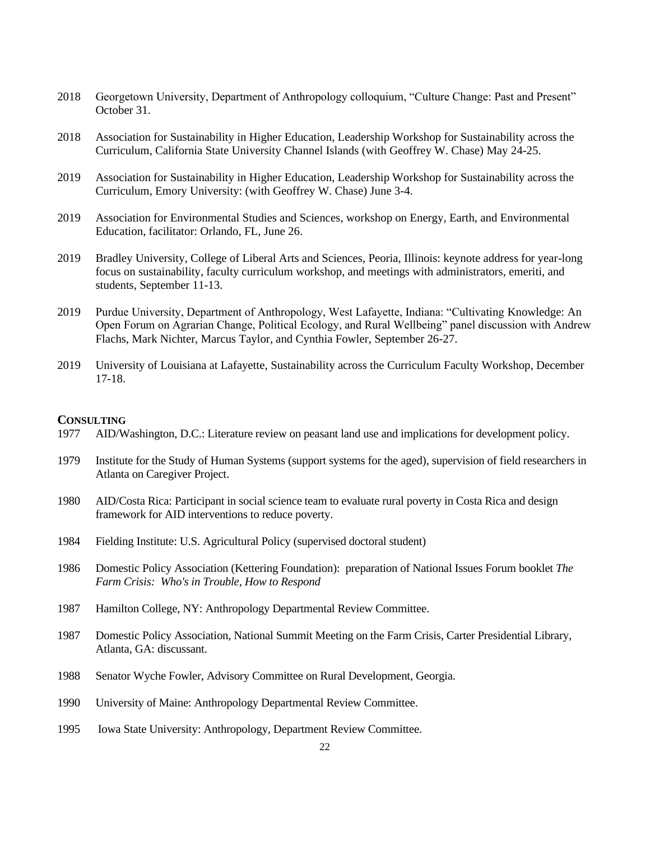- 2018 Georgetown University, Department of Anthropology colloquium, "Culture Change: Past and Present" October 31.
- 2018 Association for Sustainability in Higher Education, Leadership Workshop for Sustainability across the Curriculum, California State University Channel Islands (with Geoffrey W. Chase) May 24-25.
- 2019 Association for Sustainability in Higher Education, Leadership Workshop for Sustainability across the Curriculum, Emory University: (with Geoffrey W. Chase) June 3-4.
- 2019 Association for Environmental Studies and Sciences, workshop on Energy, Earth, and Environmental Education, facilitator: Orlando, FL, June 26.
- 2019 Bradley University, College of Liberal Arts and Sciences, Peoria, Illinois: keynote address for year-long focus on sustainability, faculty curriculum workshop, and meetings with administrators, emeriti, and students, September 11-13.
- 2019 Purdue University, Department of Anthropology, West Lafayette, Indiana: "Cultivating Knowledge: An Open Forum on Agrarian Change, Political Ecology, and Rural Wellbeing" panel discussion with Andrew Flachs, Mark Nichter, Marcus Taylor, and Cynthia Fowler, September 26-27.
- 2019 University of Louisiana at Lafayette, Sustainability across the Curriculum Faculty Workshop, December 17-18.

#### **CONSULTING**

- 1977 AID/Washington, D.C.: Literature review on peasant land use and implications for development policy.
- 1979 Institute for the Study of Human Systems (support systems for the aged), supervision of field researchers in Atlanta on Caregiver Project.
- 1980 AID/Costa Rica: Participant in social science team to evaluate rural poverty in Costa Rica and design framework for AID interventions to reduce poverty.
- 1984 Fielding Institute: U.S. Agricultural Policy (supervised doctoral student)
- 1986 Domestic Policy Association (Kettering Foundation): preparation of National Issues Forum booklet *The Farm Crisis: Who's in Trouble, How to Respond*
- 1987 Hamilton College, NY: Anthropology Departmental Review Committee.
- 1987 Domestic Policy Association, National Summit Meeting on the Farm Crisis, Carter Presidential Library, Atlanta, GA: discussant.
- 1988 Senator Wyche Fowler, Advisory Committee on Rural Development, Georgia.
- 1990 University of Maine: Anthropology Departmental Review Committee.
- 1995 Iowa State University: Anthropology, Department Review Committee.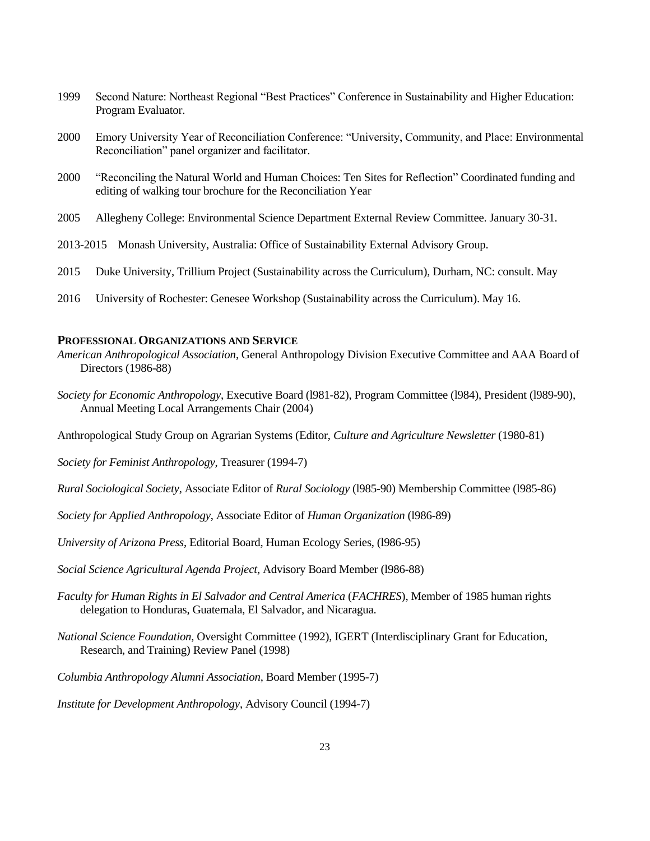- 1999 Second Nature: Northeast Regional "Best Practices" Conference in Sustainability and Higher Education: Program Evaluator.
- 2000 Emory University Year of Reconciliation Conference: "University, Community, and Place: Environmental Reconciliation" panel organizer and facilitator.
- 2000 "Reconciling the Natural World and Human Choices: Ten Sites for Reflection" Coordinated funding and editing of walking tour brochure for the Reconciliation Year
- 2005 Allegheny College: Environmental Science Department External Review Committee. January 30-31.
- 2013-2015 Monash University, Australia: Office of Sustainability External Advisory Group.
- 2015 Duke University, Trillium Project (Sustainability across the Curriculum), Durham, NC: consult. May
- 2016 University of Rochester: Genesee Workshop (Sustainability across the Curriculum). May 16.

## **PROFESSIONAL ORGANIZATIONS AND SERVICE**

- *American Anthropological Association*, General Anthropology Division Executive Committee and AAA Board of Directors (1986-88)
- *Society for Economic Anthropology*, Executive Board (l981-82), Program Committee (l984), President (l989-90), Annual Meeting Local Arrangements Chair (2004)
- Anthropological Study Group on Agrarian Systems (Editor, *Culture and Agriculture Newsletter* (1980-81)

*Society for Feminist Anthropology*, Treasurer (1994-7)

- *Rural Sociological Society*, Associate Editor of *Rural Sociology* (l985-90) Membership Committee (l985-86)
- *Society for Applied Anthropology*, Associate Editor of *Human Organization* (l986-89)
- *University of Arizona Press*, Editorial Board, Human Ecology Series, (l986-95)
- *Social Science Agricultural Agenda Project*, Advisory Board Member (l986-88)
- *Faculty for Human Rights in El Salvador and Central America* (*FACHRES*), Member of 1985 human rights delegation to Honduras, Guatemala, El Salvador, and Nicaragua.
- *National Science Foundation*, Oversight Committee (1992), IGERT (Interdisciplinary Grant for Education, Research, and Training) Review Panel (1998)
- *Columbia Anthropology Alumni Association*, Board Member (1995-7)
- *Institute for Development Anthropology*, Advisory Council (1994-7)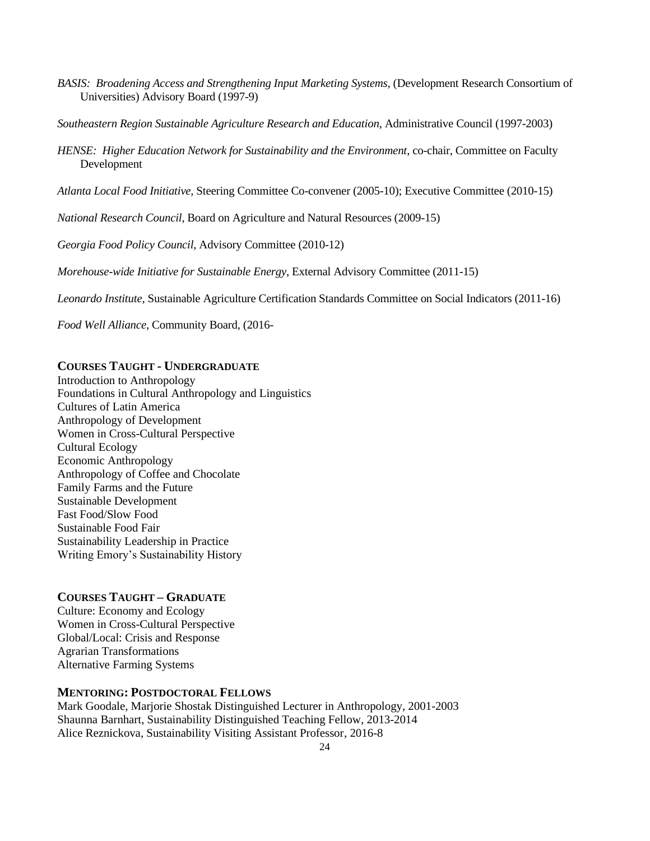- *BASIS: Broadening Access and Strengthening Input Marketing Systems*, (Development Research Consortium of Universities) Advisory Board (1997-9)
- *Southeastern Region Sustainable Agriculture Research and Education*, Administrative Council (1997-2003)
- *HENSE: Higher Education Network for Sustainability and the Environment*, co-chair, Committee on Faculty Development
- *Atlanta Local Food Initiative,* Steering Committee Co-convener (2005-10); Executive Committee (2010-15)
- *National Research Council*, Board on Agriculture and Natural Resources (2009-15)

*Georgia Food Policy Council*, Advisory Committee (2010-12)

*Morehouse-wide Initiative for Sustainable Energy*, External Advisory Committee (2011-15)

*Leonardo Institute,* Sustainable Agriculture Certification Standards Committee on Social Indicators (2011-16)

*Food Well Alliance,* Community Board*,* (2016-

### **COURSES TAUGHT - UNDERGRADUATE**

Introduction to Anthropology Foundations in Cultural Anthropology and Linguistics Cultures of Latin America Anthropology of Development Women in Cross-Cultural Perspective Cultural Ecology Economic Anthropology Anthropology of Coffee and Chocolate Family Farms and the Future Sustainable Development Fast Food/Slow Food Sustainable Food Fair Sustainability Leadership in Practice Writing Emory's Sustainability History

### **COURSES TAUGHT – GRADUATE**

Culture: Economy and Ecology Women in Cross-Cultural Perspective Global/Local: Crisis and Response Agrarian Transformations Alternative Farming Systems

#### **MENTORING: POSTDOCTORAL FELLOWS**

Mark Goodale, Marjorie Shostak Distinguished Lecturer in Anthropology, 2001-2003 Shaunna Barnhart, Sustainability Distinguished Teaching Fellow, 2013-2014 Alice Reznickova, Sustainability Visiting Assistant Professor, 2016-8